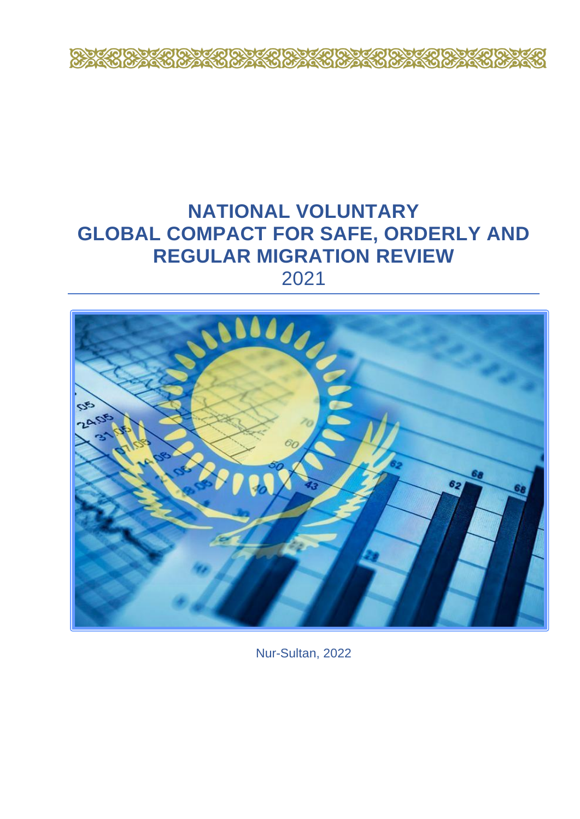

# **NATIONAL VOLUNTARY GLOBAL COMPACT FOR SAFE, ORDERLY AND REGULAR MIGRATION REVIEW**



Nur-Sultan, 2022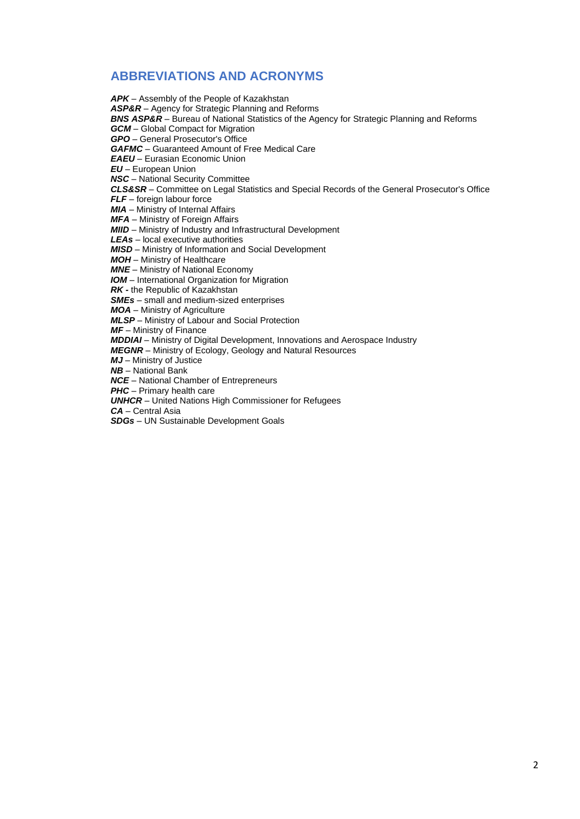# **ABBREVIATIONS AND ACRONYMS**

*APK* – Assembly of the People of Kazakhstan *ASP&R* – Agency for Strategic Planning and Reforms *BNS ASP&R* – Bureau of National Statistics of the Agency for Strategic Planning and Reforms *GCM* – Global Compact for Migration *GPO* – General Prosecutor's Office *GAFMC* – Guaranteed Amount of Free Medical Care *EAEU* – Eurasian Economic Union *EU* – European Union *NSC* – National Security Committee *CLS&SR* – Committee on Legal Statistics and Special Records of the General Prosecutor's Office *FLF* – foreign labour force *MIA* – Ministry of Internal Affairs *MFA* – Ministry of Foreign Affairs *MIID* – Ministry of Industry and Infrastructural Development *LEAs* – local executive authorities *MISD* – Ministry of Information and Social Development *MOH* – Ministry of Healthcare *MNE* – Ministry of National Economy *IOM* – International Organization for Migration *RK -* the Republic of Kazakhstan *SMEs* – small and medium-sized enterprises *MOA* – Ministry of Agriculture *MLSP* – Ministry of Labour and Social Protection *MF* – Ministry of Finance *MDDIAI* – Ministry of Digital Development, Innovations and Aerospace Industry *MEGNR* – Ministry of Ecology, Geology and Natural Resources *MJ* – Ministry of Justice *NB* – National Bank *NCE* – National Chamber of Entrepreneurs *PHC* – Primary health care *UNHCR* – United Nations High Commissioner for Refugees *CA* – Central Asia *SDGs* – UN Sustainable Development Goals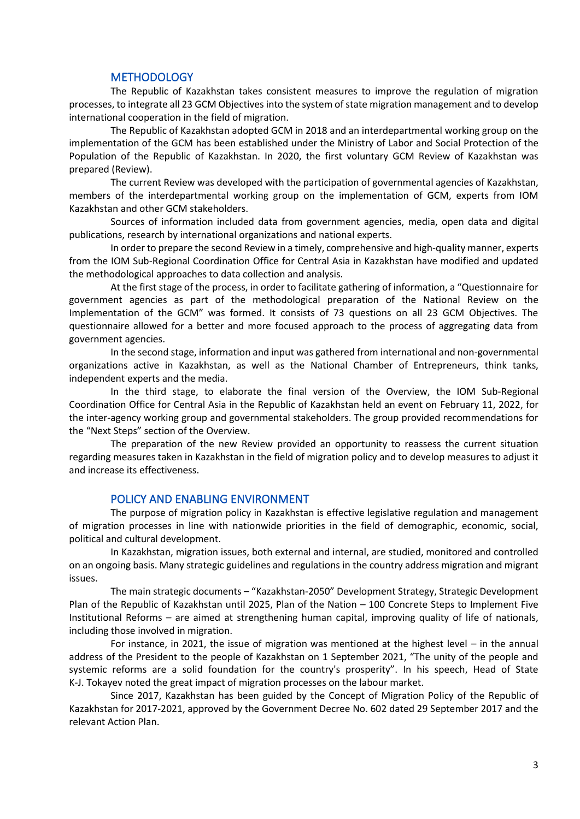#### **METHODOLOGY**

The Republic of Kazakhstan takes consistent measures to improve the regulation of migration processes, to integrate all 23 GCM Objectives into the system of state migration management and to develop international cooperation in the field of migration.

The Republic of Kazakhstan adopted GCM in 2018 and an interdepartmental working group on the implementation of the GCM has been established under the Ministry of Labor and Social Protection of the Population of the Republic of Kazakhstan. In 2020, the first voluntary GCM Review of Kazakhstan was prepared (Review).

The current Review was developed with the participation of governmental agencies of Kazakhstan, members of the interdepartmental working group on the implementation of GCM, experts from IOM Kazakhstan and other GCM stakeholders.

Sources of information included data from government agencies, media, open data and digital publications, research by international organizations and national experts.

In order to prepare the second Review in a timely, comprehensive and high-quality manner, experts from the IOM Sub-Regional Coordination Office for Central Asia in Kazakhstan have modified and updated the methodological approaches to data collection and analysis.

At the first stage of the process, in order to facilitate gathering of information, a "Questionnaire for government agencies as part of the methodological preparation of the National Review on the Implementation of the GCM" was formed. It consists of 73 questions on all 23 GCM Objectives. The questionnaire allowed for a better and more focused approach to the process of aggregating data from government agencies.

In the second stage, information and input was gathered from international and non-governmental organizations active in Kazakhstan, as well as the National Chamber of Entrepreneurs, think tanks, independent experts and the media.

In the third stage, to elaborate the final version of the Overview, the IOM Sub-Regional Coordination Office for Central Asia in the Republic of Kazakhstan held an event on February 11, 2022, for the inter-agency working group and governmental stakeholders. The group provided recommendations for the "Next Steps" section of the Overview.

The preparation of the new Review provided an opportunity to reassess the current situation regarding measures taken in Kazakhstan in the field of migration policy and to develop measures to adjust it and increase its effectiveness.

#### POLICY AND ENABLING ENVIRONMENT

The purpose of migration policy in Kazakhstan is effective legislative regulation and management of migration processes in line with nationwide priorities in the field of demographic, economic, social, political and cultural development.

In Kazakhstan, migration issues, both external and internal, are studied, monitored and controlled on an ongoing basis. Many strategic guidelines and regulations in the country address migration and migrant issues.

The main strategic documents – "Kazakhstan-2050" Development Strategy, Strategic Development Plan of the Republic of Kazakhstan until 2025, Plan of the Nation – 100 Concrete Steps to Implement Five Institutional Reforms – are aimed at strengthening human capital, improving quality of life of nationals, including those involved in migration.

For instance, in 2021, the issue of migration was mentioned at the highest level – in the annual address of the President to the people of Kazakhstan on 1 September 2021, "The unity of the people and systemic reforms are a solid foundation for the country's prosperity". In his speech, Head of State K-J. Tokayev noted the great impact of migration processes on the labour market.

Since 2017, Kazakhstan has been guided by the Concept of Migration Policy of the Republic of Kazakhstan for 2017-2021, approved by the Government Decree No. 602 dated 29 September 2017 and the relevant Action Plan.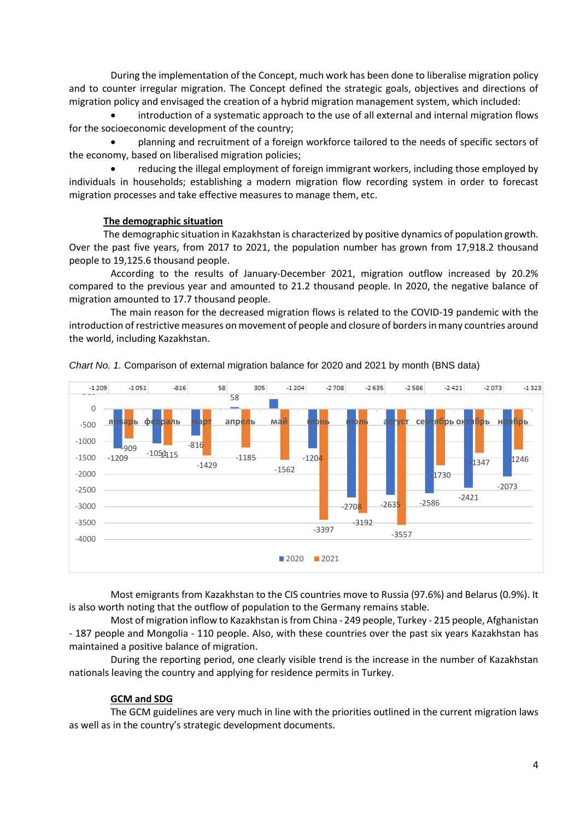During the implementation of the Concept, much work has been done to liberalise migration policy and to counter irregular migration. The Concept defined the strategic goals, objectives and directions of migration policy and envisaged the creation of a hybrid migration management system, which included:

• introduction of a systematic approach to the use of all external and internal migration flows for the socioeconomic development of the country;

• planning and recruitment of a foreign workforce tailored to the needs of specific sectors of the economy, based on liberalised migration policies;

• reducing the illegal employment of foreign immigrant workers, including those employed by individuals in households; establishing a modern migration flow recording system in order to forecast migration processes and take effective measures to manage them, etc.

#### **The demographic situation**

The demographic situation in Kazakhstan is characterized by positive dynamics of population growth. Over the past five years, from 2017 to 2021, the population number has grown from 17,918.2 thousand people to 19,125.6 thousand people.

According to the results of January-December 2021, migration outflow increased by 20.2% compared to the previous year and amounted to 21.2 thousand people. In 2020, the negative balance of migration amounted to 17.7 thousand people.

The main reason for the decreased migration flows is related to the COVID-19 pandemic with the introduction of restrictive measures on movement of people and closure of borders in many countries around the world, including Kazakhstan.



*Chart No. 1.* Comparison of external migration balance for 2020 and 2021 by month (BNS data)

Most emigrants from Kazakhstan to the CIS countries move to Russia (97.6%) and Belarus (0.9%). It is also worth noting that the outflow of population to the Germany remains stable.

Most of migration inflow to Kazakhstan isfrom China - 249 people, Turkey - 215 people, Afghanistan - 187 people and Mongolia - 110 people. Also, with these countries over the past six years Kazakhstan has maintained a positive balance of migration.

During the reporting period, one clearly visible trend is the increase in the number of Kazakhstan nationals leaving the country and applying for residence permits in Turkey.

#### **GCM and SDG**

The GCM guidelines are very much in line with the priorities outlined in the current migration laws as well as in the country's strategic development documents.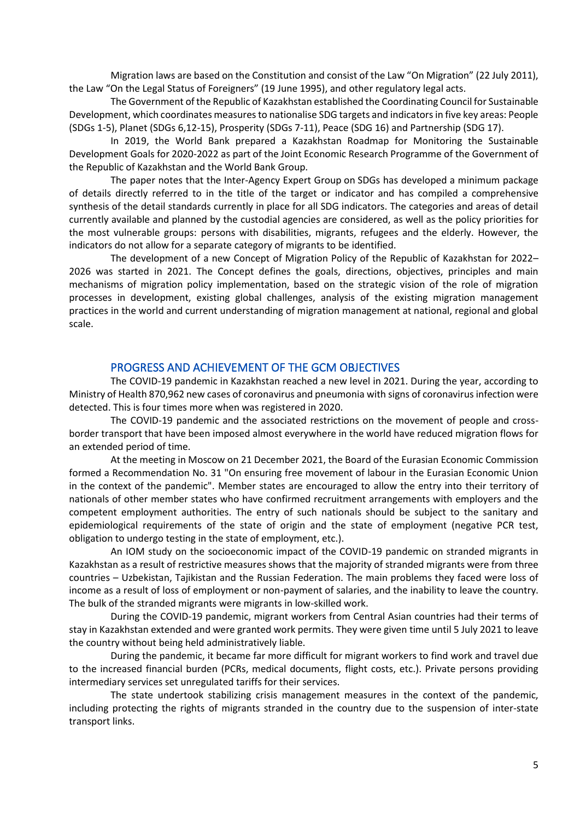Migration laws are based on the Constitution and consist of the Law "On Migration" (22 July 2011), the Law "On the Legal Status of Foreigners" (19 June 1995), and other regulatory legal acts.

The Government of the Republic of Kazakhstan established the Coordinating Council for Sustainable Development, which coordinates measures to nationalise SDG targets and indicators in five key areas: People (SDGs 1-5), Planet (SDGs 6,12-15), Prosperity (SDGs 7-11), Peace (SDG 16) and Partnership (SDG 17).

In 2019, the World Bank prepared a Kazakhstan Roadmap for Monitoring the Sustainable Development Goals for 2020-2022 as part of the Joint Economic Research Programme of the Government of the Republic of Kazakhstan and the World Bank Group.

The paper notes that the Inter-Agency Expert Group on SDGs has developed a minimum package of details directly referred to in the title of the target or indicator and has compiled a comprehensive synthesis of the detail standards currently in place for all SDG indicators. The categories and areas of detail currently available and planned by the custodial agencies are considered, as well as the policy priorities for the most vulnerable groups: persons with disabilities, migrants, refugees and the elderly. However, the indicators do not allow for a separate category of migrants to be identified.

The development of a new Concept of Migration Policy of the Republic of Kazakhstan for 2022– 2026 was started in 2021. The Concept defines the goals, directions, objectives, principles and main mechanisms of migration policy implementation, based on the strategic vision of the role of migration processes in development, existing global challenges, analysis of the existing migration management practices in the world and current understanding of migration management at national, regional and global scale.

#### PROGRESS AND ACHIEVEMENT OF THE GCM OBJECTIVES

The COVID-19 pandemic in Kazakhstan reached a new level in 2021. During the year, according to Ministry of Health 870,962 new cases of coronavirus and pneumonia with signs of coronavirus infection were detected. This is four times more when was registered in 2020.

The COVID-19 pandemic and the associated restrictions on the movement of people and crossborder transport that have been imposed almost everywhere in the world have reduced migration flows for an extended period of time.

At the meeting in Moscow on 21 December 2021, the Board of the Eurasian Economic Commission formed a Recommendation No. 31 "On ensuring free movement of labour in the Eurasian Economic Union in the context of the pandemic". Member states are encouraged to allow the entry into their territory of nationals of other member states who have confirmed recruitment arrangements with employers and the competent employment authorities. The entry of such nationals should be subject to the sanitary and epidemiological requirements of the state of origin and the state of employment (negative PCR test, obligation to undergo testing in the state of employment, etc.).

An IOM study on the socioeconomic impact of the COVID-19 pandemic on stranded migrants in Kazakhstan as a result of restrictive measures shows that the majority of stranded migrants were from three countries – Uzbekistan, Tajikistan and the Russian Federation. The main problems they faced were loss of income as a result of loss of employment or non-payment of salaries, and the inability to leave the country. The bulk of the stranded migrants were migrants in low-skilled work.

During the COVID-19 pandemic, migrant workers from Central Asian countries had their terms of stay in Kazakhstan extended and were granted work permits. They were given time until 5 July 2021 to leave the country without being held administratively liable.

During the pandemic, it became far more difficult for migrant workers to find work and travel due to the increased financial burden (PCRs, medical documents, flight costs, etc.). Private persons providing intermediary services set unregulated tariffs for their services.

The state undertook stabilizing crisis management measures in the context of the pandemic, including protecting the rights of migrants stranded in the country due to the suspension of inter-state transport links.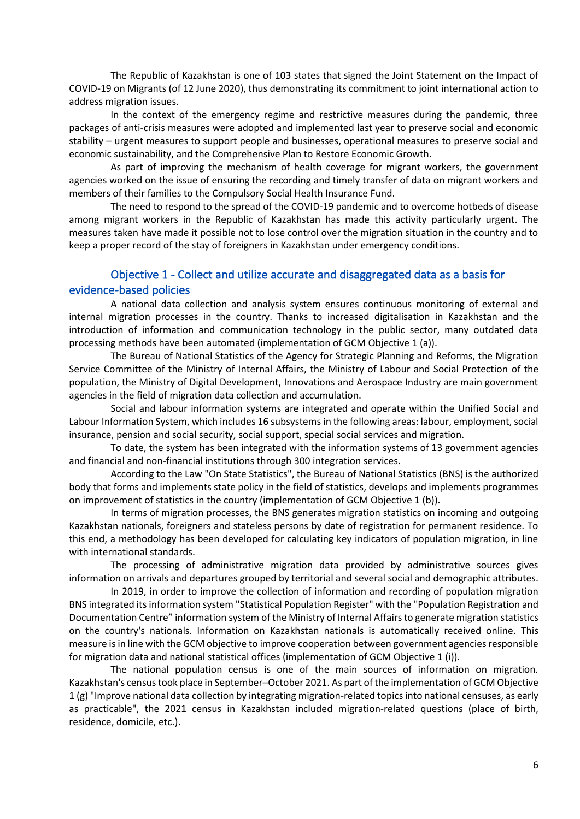The Republic of Kazakhstan is one of 103 states that signed the Joint Statement on the Impact of COVID-19 on Migrants (of 12 June 2020), thus demonstrating its commitment to joint international action to address migration issues.

In the context of the emergency regime and restrictive measures during the pandemic, three packages of anti-crisis measures were adopted and implemented last year to preserve social and economic stability – urgent measures to support people and businesses, operational measures to preserve social and economic sustainability, and the Comprehensive Plan to Restore Economic Growth.

As part of improving the mechanism of health coverage for migrant workers, the government agencies worked on the issue of ensuring the recording and timely transfer of data on migrant workers and members of their families to the Compulsory Social Health Insurance Fund.

The need to respond to the spread of the COVID-19 pandemic and to overcome hotbeds of disease among migrant workers in the Republic of Kazakhstan has made this activity particularly urgent. The measures taken have made it possible not to lose control over the migration situation in the country and to keep a proper record of the stay of foreigners in Kazakhstan under emergency conditions.

# Objective 1 - Collect and utilize accurate and disaggregated data as a basis for evidence-based policies

A national data collection and analysis system ensures continuous monitoring of external and internal migration processes in the country. Thanks to increased digitalisation in Kazakhstan and the introduction of information and communication technology in the public sector, many outdated data processing methods have been automated (implementation of GCM Objective 1 (a)).

The Bureau of National Statistics of the Agency for Strategic Planning and Reforms, the Migration Service Committee of the Ministry of Internal Affairs, the Ministry of Labour and Social Protection of the population, the Ministry of Digital Development, Innovations and Aerospace Industry are main government agencies in the field of migration data collection and accumulation.

Social and labour information systems are integrated and operate within the Unified Social and Labour Information System, which includes 16 subsystems in the following areas: labour, employment, social insurance, pension and social security, social support, special social services and migration.

To date, the system has been integrated with the information systems of 13 government agencies and financial and non-financial institutions through 300 integration services.

According to the Law "On State Statistics", the Bureau of National Statistics (BNS) is the authorized body that forms and implements state policy in the field of statistics, develops and implements programmes on improvement of statistics in the country (implementation of GCM Objective 1 (b)).

In terms of migration processes, the BNS generates migration statistics on incoming and outgoing Kazakhstan nationals, foreigners and stateless persons by date of registration for permanent residence. To this end, a methodology has been developed for calculating key indicators of population migration, in line with international standards.

The processing of administrative migration data provided by administrative sources gives information on arrivals and departures grouped by territorial and several social and demographic attributes.

In 2019, in order to improve the collection of information and recording of population migration BNS integrated its information system "Statistical Population Register" with the "Population Registration and Documentation Centre" information system of the Ministry of Internal Affairs to generate migration statistics on the country's nationals. Information on Kazakhstan nationals is automatically received online. This measure is in line with the GCM objective to improve cooperation between government agencies responsible for migration data and national statistical offices (implementation of GCM Objective 1 (i)).

The national population census is one of the main sources of information on migration. Kazakhstan's census took place in September–October 2021. As part of the implementation of GCM Objective 1 (g) "Improve national data collection by integrating migration-related topics into national censuses, as early as practicable", the 2021 census in Kazakhstan included migration-related questions (place of birth, residence, domicile, etc.).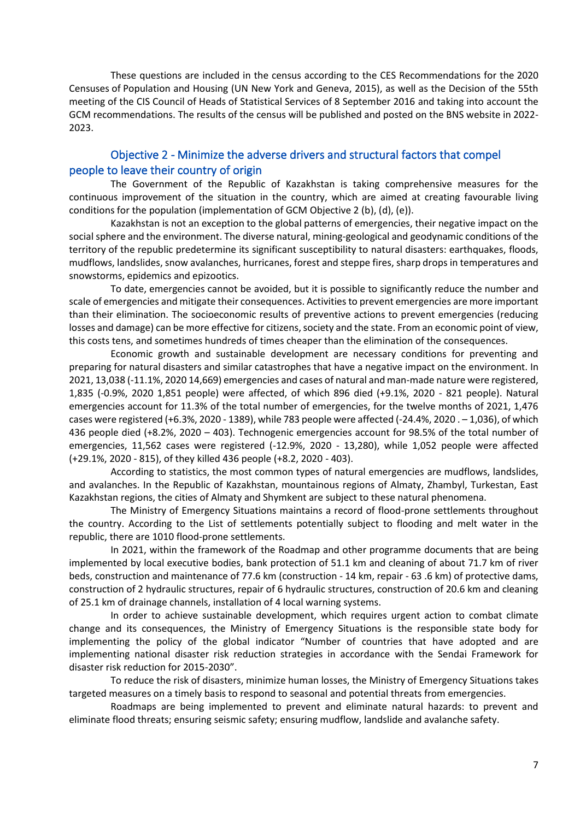These questions are included in the census according to the CES Recommendations for the 2020 Censuses of Population and Housing (UN New York and Geneva, 2015), as well as the Decision of the 55th meeting of the CIS Council of Heads of Statistical Services of 8 September 2016 and taking into account the GCM recommendations. The results of the census will be published and posted on the BNS website in 2022- 2023.

#### Objective 2 - Minimize the adverse drivers and structural factors that compel people to leave their country of origin

The Government of the Republic of Kazakhstan is taking comprehensive measures for the continuous improvement of the situation in the country, which are aimed at creating favourable living conditions for the population (implementation of GCM Objective 2 (b), (d), (e)).

Kazakhstan is not an exception to the global patterns of emergencies, their negative impact on the social sphere and the environment. The diverse natural, mining-geological and geodynamic conditions of the territory of the republic predetermine its significant susceptibility to natural disasters: earthquakes, floods, mudflows, landslides, snow avalanches, hurricanes, forest and steppe fires, sharp drops in temperatures and snowstorms, epidemics and epizootics.

To date, emergencies cannot be avoided, but it is possible to significantly reduce the number and scale of emergencies and mitigate their consequences. Activities to prevent emergencies are more important than their elimination. The socioeconomic results of preventive actions to prevent emergencies (reducing losses and damage) can be more effective for citizens, society and the state. From an economic point of view, this costs tens, and sometimes hundreds of times cheaper than the elimination of the consequences.

Economic growth and sustainable development are necessary conditions for preventing and preparing for natural disasters and similar catastrophes that have a negative impact on the environment. In 2021, 13,038 (-11.1%, 2020 14,669) emergencies and cases of natural and man-made nature were registered, 1,835 (-0.9%, 2020 1,851 people) were affected, of which 896 died (+9.1%, 2020 - 821 people). Natural emergencies account for 11.3% of the total number of emergencies, for the twelve months of 2021, 1,476 cases were registered (+6.3%, 2020 - 1389), while 783 people were affected (-24.4%, 2020 . – 1,036), of which 436 people died (+8.2%, 2020 – 403). Technogenic emergencies account for 98.5% of the total number of emergencies, 11,562 cases were registered (-12.9%, 2020 - 13,280), while 1,052 people were affected (+29.1%, 2020 - 815), of they killed 436 people (+8.2, 2020 - 403).

According to statistics, the most common types of natural emergencies are mudflows, landslides, and avalanches. In the Republic of Kazakhstan, mountainous regions of Almaty, Zhambyl, Turkestan, East Kazakhstan regions, the cities of Almaty and Shymkent are subject to these natural phenomena.

The Ministry of Emergency Situations maintains a record of flood-prone settlements throughout the country. According to the List of settlements potentially subject to flooding and melt water in the republic, there are 1010 flood-prone settlements.

In 2021, within the framework of the Roadmap and other programme documents that are being implemented by local executive bodies, bank protection of 51.1 km and cleaning of about 71.7 km of river beds, construction and maintenance of 77.6 km (construction - 14 km, repair - 63 .6 km) of protective dams, construction of 2 hydraulic structures, repair of 6 hydraulic structures, construction of 20.6 km and cleaning of 25.1 km of drainage channels, installation of 4 local warning systems.

In order to achieve sustainable development, which requires urgent action to combat climate change and its consequences, the Ministry of Emergency Situations is the responsible state body for implementing the policy of the global indicator "Number of countries that have adopted and are implementing national disaster risk reduction strategies in accordance with the Sendai Framework for disaster risk reduction for 2015-2030".

To reduce the risk of disasters, minimize human losses, the Ministry of Emergency Situations takes targeted measures on a timely basis to respond to seasonal and potential threats from emergencies.

Roadmaps are being implemented to prevent and eliminate natural hazards: to prevent and eliminate flood threats; ensuring seismic safety; ensuring mudflow, landslide and avalanche safety.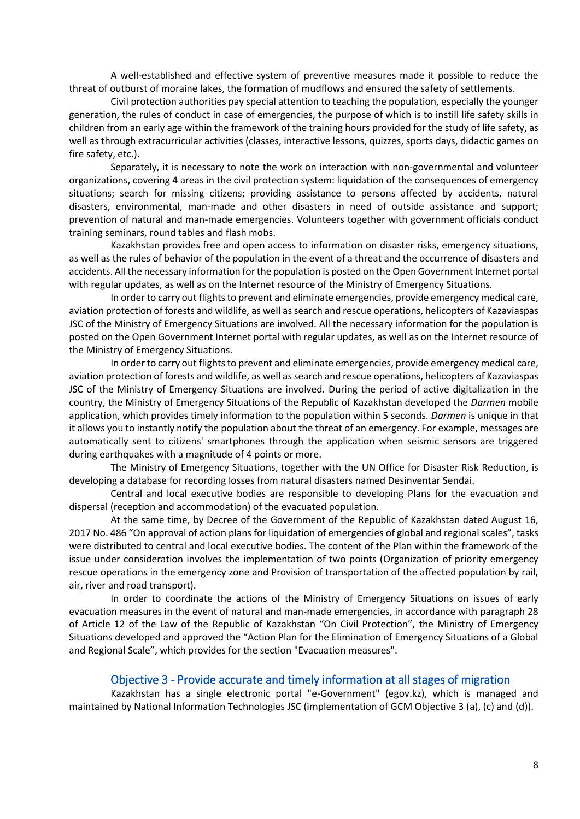A well-established and effective system of preventive measures made it possible to reduce the threat of outburst of moraine lakes, the formation of mudflows and ensured the safety of settlements.

Civil protection authorities pay special attention to teaching the population, especially the younger generation, the rules of conduct in case of emergencies, the purpose of which is to instill life safety skills in children from an early age within the framework of the training hours provided for the study of life safety, as well as through extracurricular activities (classes, interactive lessons, quizzes, sports days, didactic games on fire safety, etc.).

Separately, it is necessary to note the work on interaction with non-governmental and volunteer organizations, covering 4 areas in the civil protection system: liquidation of the consequences of emergency situations; search for missing citizens; providing assistance to persons affected by accidents, natural disasters, environmental, man-made and other disasters in need of outside assistance and support; prevention of natural and man-made emergencies. Volunteers together with government officials conduct training seminars, round tables and flash mobs.

Kazakhstan provides free and open access to information on disaster risks, emergency situations, as well as the rules of behavior of the population in the event of a threat and the occurrence of disasters and accidents. All the necessary information for the population is posted on the Open Government Internet portal with regular updates, as well as on the Internet resource of the Ministry of Emergency Situations.

In order to carry out flights to prevent and eliminate emergencies, provide emergency medical care, aviation protection of forests and wildlife, as well as search and rescue operations, helicopters of Kazaviaspas JSC of the Ministry of Emergency Situations are involved. All the necessary information for the population is posted on the Open Government Internet portal with regular updates, as well as on the Internet resource of the Ministry of Emergency Situations.

In order to carry out flights to prevent and eliminate emergencies, provide emergency medical care, aviation protection of forests and wildlife, as well as search and rescue operations, helicopters of Kazaviaspas JSC of the Ministry of Emergency Situations are involved. During the period of active digitalization in the country, the Ministry of Emergency Situations of the Republic of Kazakhstan developed the *Darmen* mobile application, which provides timely information to the population within 5 seconds. *Darmen* is unique in that it allows you to instantly notify the population about the threat of an emergency. For example, messages are automatically sent to citizens' smartphones through the application when seismic sensors are triggered during earthquakes with a magnitude of 4 points or more.

The Ministry of Emergency Situations, together with the UN Office for Disaster Risk Reduction, is developing a database for recording losses from natural disasters named Desinventar Sendai.

Central and local executive bodies are responsible to developing Plans for the evacuation and dispersal (reception and accommodation) of the evacuated population.

At the same time, by Decree of the Government of the Republic of Kazakhstan dated August 16, 2017 No. 486 "On approval of action plans for liquidation of emergencies of global and regional scales", tasks were distributed to central and local executive bodies. The content of the Plan within the framework of the issue under consideration involves the implementation of two points (Organization of priority emergency rescue operations in the emergency zone and Provision of transportation of the affected population by rail, air, river and road transport).

In order to coordinate the actions of the Ministry of Emergency Situations on issues of early evacuation measures in the event of natural and man-made emergencies, in accordance with paragraph 28 of Article 12 of the Law of the Republic of Kazakhstan "On Civil Protection", the Ministry of Emergency Situations developed and approved the "Action Plan for the Elimination of Emergency Situations of a Global and Regional Scale", which provides for the section "Evacuation measures".

#### Objective 3 - Provide accurate and timely information at all stages of migration

<span id="page-7-0"></span>Kazakhstan has a single electronic portal "e-Government" (egov.kz), which is managed and maintained by National Information Technologies JSC (implementation of GCM Objective 3 (a), (c) and (d)).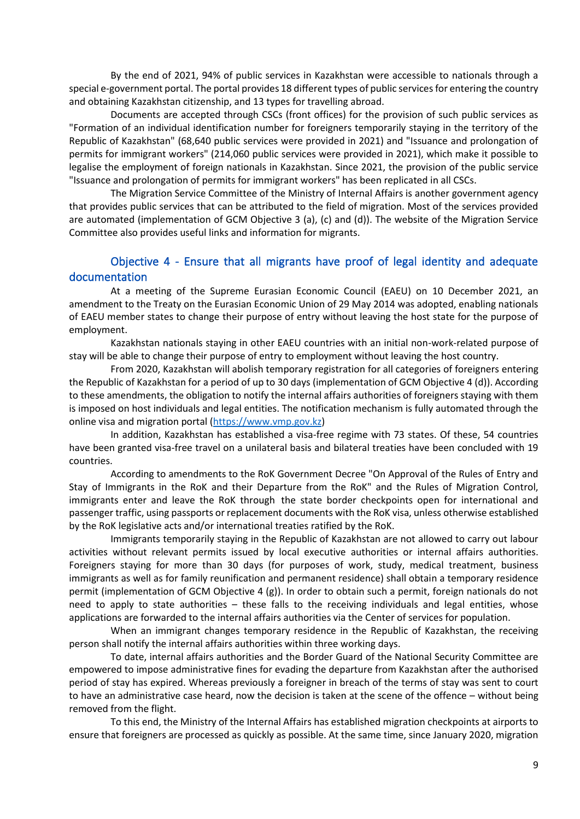By the end of 2021, 94% of public services in Kazakhstan were accessible to nationals through a special e-government portal. The portal provides 18 different types of public services for entering the country and obtaining Kazakhstan citizenship, and 13 types for travelling abroad.

Documents are accepted through CSCs (front offices) for the provision of such public services as "Formation of an individual identification number for foreigners temporarily staying in the territory of the Republic of Kazakhstan" (68,640 public services were provided in 2021) and "Issuance and prolongation of permits for immigrant workers" (214,060 public services were provided in 2021), which make it possible to legalise the employment of foreign nationals in Kazakhstan. Since 2021, the provision of the public service "Issuance and prolongation of permits for immigrant workers" has been replicated in all CSCs.

The Migration Service Committee of the Ministry of Internal Affairs is another government agency that provides public services that can be attributed to the field of migration. Most of the services provided are automated (implementation of GCM Objective 3 (a), (c) and (d)). The website of the Migration Service Committee also provides useful links and information for migrants.

#### <span id="page-8-0"></span>Objective 4 - Ensure that all migrants have proof of legal identity and adequate documentation

At a meeting of the Supreme Eurasian Economic Council (EAEU) on 10 December 2021, an amendment to the Treaty on the Eurasian Economic Union of 29 May 2014 was adopted, enabling nationals of EAEU member states to change their purpose of entry without leaving the host state for the purpose of employment.

Kazakhstan nationals staying in other EAEU countries with an initial non-work-related purpose of stay will be able to change their purpose of entry to employment without leaving the host country.

From 2020, Kazakhstan will abolish temporary registration for all categories of foreigners entering the Republic of Kazakhstan for a period of up to 30 days (implementation of GCM Objective 4 (d)). According to these amendments, the obligation to notify the internal affairs authorities of foreigners staying with them is imposed on host individuals and legal entities. The notification mechanism is fully automated through the online visa and migration portal [\(https://www.vmp.gov.kz\)](https://www.vmp.gov.kz/)

In addition, Kazakhstan has established a visa-free regime with 73 states. Of these, 54 countries have been granted visa-free travel on a unilateral basis and bilateral treaties have been concluded with 19 countries.

According to amendments to the RoK Government Decree "On Approval of the Rules of Entry and Stay of Immigrants in the RoK and their Departure from the RoK" and the Rules of Migration Control, immigrants enter and leave the RoK through the state border checkpoints open for international and passenger traffic, using passports or replacement documents with the RoK visa, unless otherwise established by the RoK legislative acts and/or international treaties ratified by the RoK.

Immigrants temporarily staying in the Republic of Kazakhstan are not allowed to carry out labour activities without relevant permits issued by local executive authorities or internal affairs authorities. Foreigners staying for more than 30 days (for purposes of work, study, medical treatment, business immigrants as well as for family reunification and permanent residence) shall obtain a temporary residence permit (implementation of GCM Objective 4 (g)). In order to obtain such a permit, foreign nationals do not need to apply to state authorities – these falls to the receiving individuals and legal entities, whose applications are forwarded to the internal affairs authorities via the Center of services for population.

When an immigrant changes temporary residence in the Republic of Kazakhstan, the receiving person shall notify the internal affairs authorities within three working days.

To date, internal affairs authorities and the Border Guard of the National Security Committee are empowered to impose administrative fines for evading the departure from Kazakhstan after the authorised period of stay has expired. Whereas previously a foreigner in breach of the terms of stay was sent to court to have an administrative case heard, now the decision is taken at the scene of the offence – without being removed from the flight.

To this end, the Ministry of the Internal Affairs has established migration checkpoints at airports to ensure that foreigners are processed as quickly as possible. At the same time, since January 2020, migration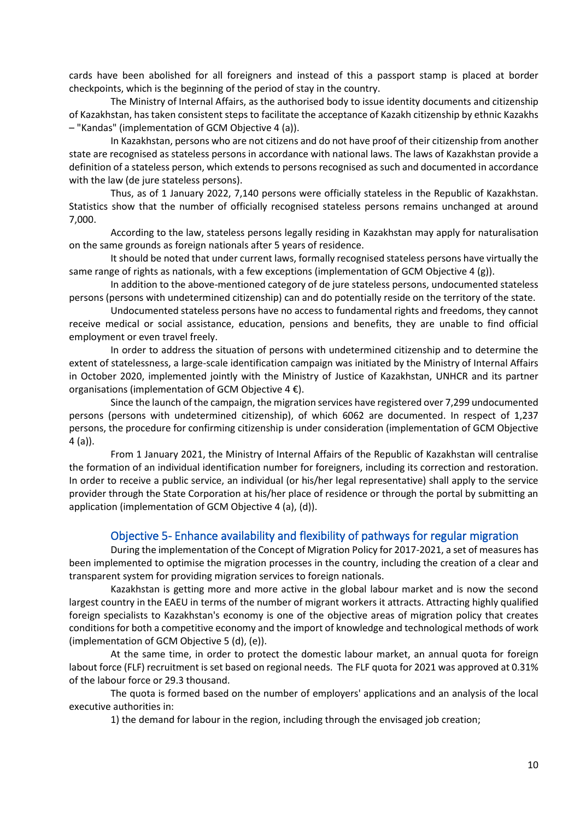cards have been abolished for all foreigners and instead of this a passport stamp is placed at border checkpoints, which is the beginning of the period of stay in the country.

The Ministry of Internal Affairs, as the authorised body to issue identity documents and citizenship of Kazakhstan, has taken consistent steps to facilitate the acceptance of Kazakh citizenship by ethnic Kazakhs – "Kandas" (implementation of GCM Objective 4 (a)).

In Kazakhstan, persons who are not citizens and do not have proof of their citizenship from another state are recognised as stateless persons in accordance with national laws. The laws of Kazakhstan provide a definition of a stateless person, which extends to persons recognised as such and documented in accordance with the law (de jure stateless persons).

Thus, as of 1 January 2022, 7,140 persons were officially stateless in the Republic of Kazakhstan. Statistics show that the number of officially recognised stateless persons remains unchanged at around 7,000.

According to the law, stateless persons legally residing in Kazakhstan may apply for naturalisation on the same grounds as foreign nationals after 5 years of residence.

It should be noted that under current laws, formally recognised stateless persons have virtually the same range of rights as nationals, with a few exceptions (implementation of GCM Objective 4 (g)).

In addition to the above-mentioned category of de jure stateless persons, undocumented stateless persons (persons with undetermined citizenship) can and do potentially reside on the territory of the state.

Undocumented stateless persons have no access to fundamental rights and freedoms, they cannot receive medical or social assistance, education, pensions and benefits, they are unable to find official employment or even travel freely.

In order to address the situation of persons with undetermined citizenship and to determine the extent of statelessness, a large-scale identification campaign was initiated by the Ministry of Internal Affairs in October 2020, implemented jointly with the Ministry of Justice of Kazakhstan, UNHCR and its partner organisations (implementation of GCM Objective  $4 \notin$ ).

Since the launch of the campaign, the migration services have registered over 7,299 undocumented persons (persons with undetermined citizenship), of which 6062 are documented. In respect of 1,237 persons, the procedure for confirming citizenship is under consideration (implementation of GCM Objective 4 (a)).

From 1 January 2021, the Ministry of Internal Affairs of the Republic of Kazakhstan will centralise the formation of an individual identification number for foreigners, including its correction and restoration. In order to receive a public service, an individual (or his/her legal representative) shall apply to the service provider through the State Corporation at his/her place of residence or through the portal by submitting an application (implementation of GCM Objective 4 (a), (d)).

#### Objective 5- Enhance availability and flexibility of pathways for regular migration

<span id="page-9-0"></span>During the implementation of the Concept of Migration Policy for 2017-2021, a set of measures has been implemented to optimise the migration processes in the country, including the creation of a clear and transparent system for providing migration services to foreign nationals.

Kazakhstan is getting more and more active in the global labour market and is now the second largest country in the EAEU in terms of the number of migrant workers it attracts. Attracting highly qualified foreign specialists to Kazakhstan's economy is one of the objective areas of migration policy that creates conditions for both a competitive economy and the import of knowledge and technological methods of work (implementation of GCM Objective 5 (d), (e)).

At the same time, in order to protect the domestic labour market, an annual quota for foreign labout force (FLF) recruitment is set based on regional needs. The FLF quota for 2021 was approved at 0.31% of the labour force or 29.3 thousand.

The quota is formed based on the number of employers' applications and an analysis of the local executive authorities in:

1) the demand for labour in the region, including through the envisaged job creation;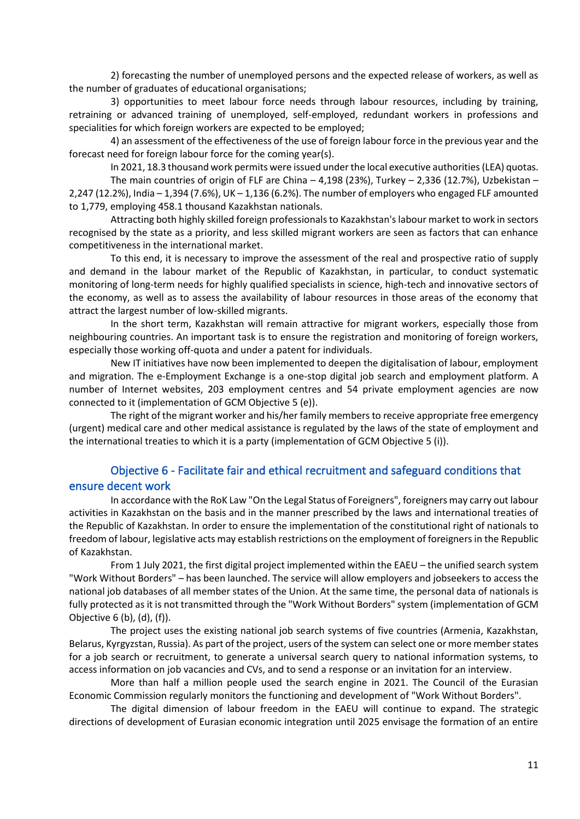2) forecasting the number of unemployed persons and the expected release of workers, as well as the number of graduates of educational organisations;

3) opportunities to meet labour force needs through labour resources, including by training, retraining or advanced training of unemployed, self-employed, redundant workers in professions and specialities for which foreign workers are expected to be employed;

4) an assessment of the effectiveness of the use of foreign labour force in the previous year and the forecast need for foreign labour force for the coming year(s).

In 2021, 18.3 thousand work permits were issued under the local executive authorities (LEA) quotas. The main countries of origin of FLF are China  $-4,198$  (23%), Turkey  $-2,336$  (12.7%), Uzbekistan  $-$ 2,247 (12.2%), India – 1,394 (7.6%), UK – 1,136 (6.2%). The number of employers who engaged FLF amounted to 1,779, employing 458.1 thousand Kazakhstan nationals.

Attracting both highly skilled foreign professionals to Kazakhstan's labour market to work in sectors recognised by the state as a priority, and less skilled migrant workers are seen as factors that can enhance competitiveness in the international market.

To this end, it is necessary to improve the assessment of the real and prospective ratio of supply and demand in the labour market of the Republic of Kazakhstan, in particular, to conduct systematic monitoring of long-term needs for highly qualified specialists in science, high-tech and innovative sectors of the economy, as well as to assess the availability of labour resources in those areas of the economy that attract the largest number of low-skilled migrants.

In the short term, Kazakhstan will remain attractive for migrant workers, especially those from neighbouring countries. An important task is to ensure the registration and monitoring of foreign workers, especially those working off-quota and under a patent for individuals.

New IT initiatives have now been implemented to deepen the digitalisation of labour, employment and migration. The e-Employment Exchange is a one-stop digital job search and employment platform. A number of Internet websites, 203 employment centres and 54 private employment agencies are now connected to it (implementation of GCM Objective 5 (e)).

The right of the migrant worker and his/her family members to receive appropriate free emergency (urgent) medical care and other medical assistance is regulated by the laws of the state of employment and the international treaties to which it is a party (implementation of GCM Objective 5 (i)).

### Objective 6 - Facilitate fair and ethical recruitment and safeguard conditions that ensure decent work

In accordance with the RoK Law "On the Legal Status of Foreigners", foreigners may carry out labour activities in Kazakhstan on the basis and in the manner prescribed by the laws and international treaties of the Republic of Kazakhstan. In order to ensure the implementation of the constitutional right of nationals to freedom of labour, legislative acts may establish restrictions on the employment of foreigners in the Republic of Kazakhstan.

From 1 July 2021, the first digital project implemented within the EAEU – the unified search system "Work Without Borders" – has been launched. The service will allow employers and jobseekers to access the national job databases of all member states of the Union. At the same time, the personal data of nationals is fully protected as it is not transmitted through the "Work Without Borders" system (implementation of GCM Objective 6 (b), (d), (f)).

The project uses the existing national job search systems of five countries (Armenia, Kazakhstan, Belarus, Kyrgyzstan, Russia). As part of the project, users of the system can select one or more member states for a job search or recruitment, to generate a universal search query to national information systems, to access information on job vacancies and CVs, and to send a response or an invitation for an interview.

More than half a million people used the search engine in 2021. The Council of the Eurasian Economic Commission regularly monitors the functioning and development of "Work Without Borders".

The digital dimension of labour freedom in the EAEU will continue to expand. The strategic directions of development of Eurasian economic integration until 2025 envisage the formation of an entire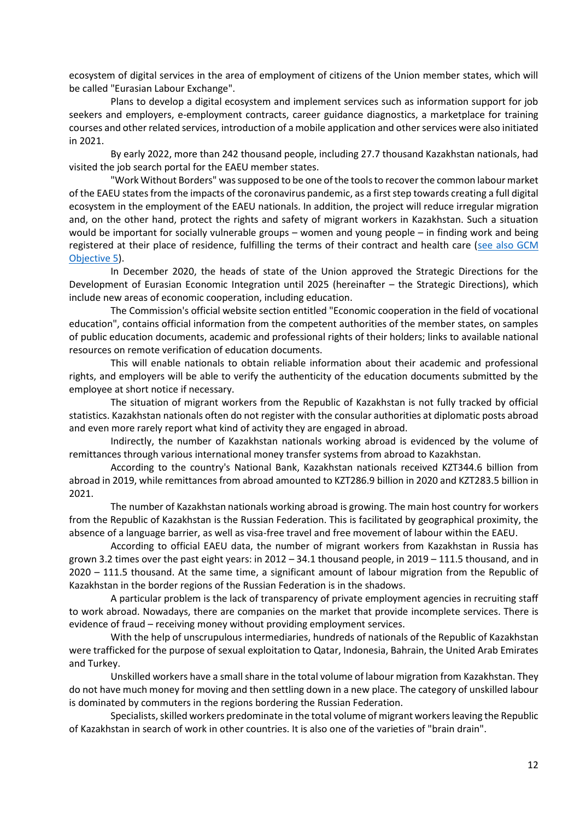ecosystem of digital services in the area of employment of citizens of the Union member states, which will be called "Eurasian Labour Exchange".

Plans to develop a digital ecosystem and implement services such as information support for job seekers and employers, e-employment contracts, career guidance diagnostics, a marketplace for training courses and other related services, introduction of a mobile application and other services were also initiated in 2021.

By early 2022, more than 242 thousand people, including 27.7 thousand Kazakhstan nationals, had visited the job search portal for the EAEU member states.

"Work Without Borders" was supposed to be one of the tools to recover the common labour market of the EAEU states from the impacts of the coronavirus pandemic, as a first step towards creating a full digital ecosystem in the employment of the EAEU nationals. In addition, the project will reduce irregular migration and, on the other hand, protect the rights and safety of migrant workers in Kazakhstan. Such a situation would be important for socially vulnerable groups – women and young people – in finding work and being registered at their place of residence, fulfilling the terms of their contract and health care [\(see also GCM](#page-9-0)  [Objective 5\)](#page-9-0).

In December 2020, the heads of state of the Union approved the Strategic Directions for the Development of Eurasian Economic Integration until 2025 (hereinafter – the Strategic Directions), which include new areas of economic cooperation, including education.

The Commission's official website section entitled "Economic cooperation in the field of vocational education", contains official information from the competent authorities of the member states, on samples of public education documents, academic and professional rights of their holders; links to available national resources on remote verification of education documents.

This will enable nationals to obtain reliable information about their academic and professional rights, and employers will be able to verify the authenticity of the education documents submitted by the employee at short notice if necessary.

The situation of migrant workers from the Republic of Kazakhstan is not fully tracked by official statistics. Kazakhstan nationals often do not register with the consular authorities at diplomatic posts abroad and even more rarely report what kind of activity they are engaged in abroad.

Indirectly, the number of Kazakhstan nationals working abroad is evidenced by the volume of remittances through various international money transfer systems from abroad to Kazakhstan.

According to the country's National Bank, Kazakhstan nationals received KZT344.6 billion from abroad in 2019, while remittances from abroad amounted to KZT286.9 billion in 2020 and KZT283.5 billion in 2021.

The number of Kazakhstan nationals working abroad is growing. The main host country for workers from the Republic of Kazakhstan is the Russian Federation. This is facilitated by geographical proximity, the absence of a language barrier, as well as visa-free travel and free movement of labour within the EAEU.

According to official EAEU data, the number of migrant workers from Kazakhstan in Russia has grown 3.2 times over the past eight years: in 2012 – 34.1 thousand people, in 2019 – 111.5 thousand, and in 2020 – 111.5 thousand. At the same time, a significant amount of labour migration from the Republic of Kazakhstan in the border regions of the Russian Federation is in the shadows.

A particular problem is the lack of transparency of private employment agencies in recruiting staff to work abroad. Nowadays, there are companies on the market that provide incomplete services. There is evidence of fraud – receiving money without providing employment services.

With the help of unscrupulous intermediaries, hundreds of nationals of the Republic of Kazakhstan were trafficked for the purpose of sexual exploitation to Qatar, Indonesia, Bahrain, the United Arab Emirates and Turkey.

Unskilled workers have a small share in the total volume of labour migration from Kazakhstan. They do not have much money for moving and then settling down in a new place. The category of unskilled labour is dominated by commuters in the regions bordering the Russian Federation.

Specialists, skilled workers predominate in the total volume of migrant workers leaving the Republic of Kazakhstan in search of work in other countries. It is also one of the varieties of "brain drain".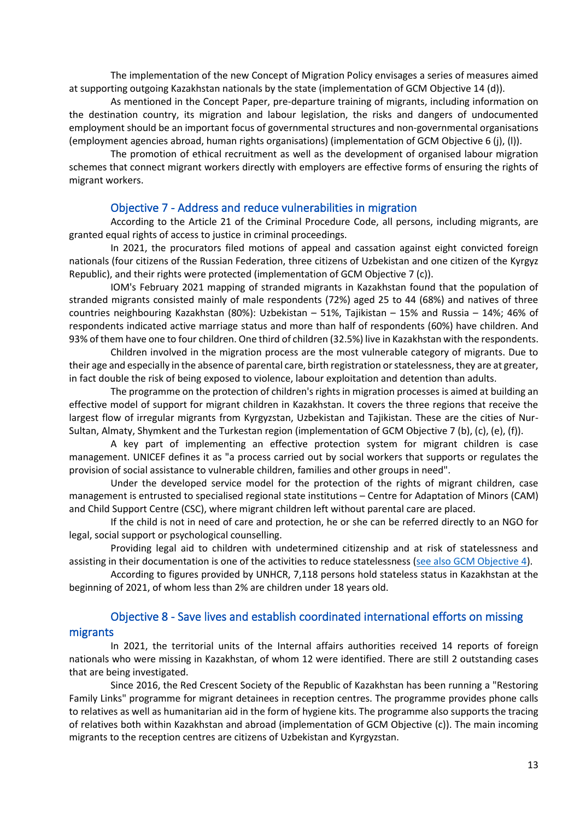The implementation of the new Concept of Migration Policy envisages a series of measures aimed at supporting outgoing Kazakhstan nationals by the state (implementation of GCM Objective 14 (d)).

As mentioned in the Concept Paper, pre-departure training of migrants, including information on the destination country, its migration and labour legislation, the risks and dangers of undocumented employment should be an important focus of governmental structures and non-governmental organisations (employment agencies abroad, human rights organisations) (implementation of GCM Objective 6 (j), (l)).

The promotion of ethical recruitment as well as the development of organised labour migration schemes that connect migrant workers directly with employers are effective forms of ensuring the rights of migrant workers.

#### Objective 7 - Address and reduce vulnerabilities in migration

According to the Article 21 of the Criminal Procedure Code, all persons, including migrants, are granted equal rights of access to justice in criminal proceedings.

In 2021, the procurators filed motions of appeal and cassation against eight convicted foreign nationals (four citizens of the Russian Federation, three citizens of Uzbekistan and one citizen of the Kyrgyz Republic), and their rights were protected (implementation of GCM Objective 7 (c)).

IOM's February 2021 mapping of stranded migrants in Kazakhstan found that the population of stranded migrants consisted mainly of male respondents (72%) aged 25 to 44 (68%) and natives of three countries neighbouring Kazakhstan (80%): Uzbekistan – 51%, Tajikistan – 15% and Russia – 14%; 46% of respondents indicated active marriage status and more than half of respondents (60%) have children. And 93% of them have one to four children. One third of children (32.5%) live in Kazakhstan with the respondents.

Children involved in the migration process are the most vulnerable category of migrants. Due to their age and especially in the absence of parental care, birth registration or statelessness, they are at greater, in fact double the risk of being exposed to violence, labour exploitation and detention than adults.

The programme on the protection of children's rights in migration processes is aimed at building an effective model of support for migrant children in Kazakhstan. It covers the three regions that receive the largest flow of irregular migrants from Kyrgyzstan, Uzbekistan and Tajikistan. These are the cities of Nur-Sultan, Almaty, Shymkent and the Turkestan region (implementation of GCM Objective 7 (b), (c), (e), (f)).

A key part of implementing an effective protection system for migrant children is case management. UNICEF defines it as "a process carried out by social workers that supports or regulates the provision of social assistance to vulnerable children, families and other groups in need".

Under the developed service model for the protection of the rights of migrant children, case management is entrusted to specialised regional state institutions – Centre for Adaptation of Minors (CAM) and Child Support Centre (CSC), where migrant children left without parental care are placed.

If the child is not in need of care and protection, he or she can be referred directly to an NGO for legal, social support or psychological counselling.

Providing legal aid to children with undetermined citizenship and at risk of statelessness and assisting in their documentation is one of the activities to reduce statelessness [\(see also GCM Objective 4\)](#page-8-0).

According to figures provided by UNHCR, 7,118 persons hold stateless status in Kazakhstan at the beginning of 2021, of whom less than 2% are children under 18 years old.

# Objective 8 - Save lives and establish coordinated international efforts on missing

#### migrants

In 2021, the territorial units of the Internal affairs authorities received 14 reports of foreign nationals who were missing in Kazakhstan, of whom 12 were identified. There are still 2 outstanding cases that are being investigated.

Since 2016, the Red Crescent Society of the Republic of Kazakhstan has been running a "Restoring Family Links" programme for migrant detainees in reception centres. The programme provides phone calls to relatives as well as humanitarian aid in the form of hygiene kits. The programme also supports the tracing of relatives both within Kazakhstan and abroad (implementation of GCM Objective (c)). The main incoming migrants to the reception centres are citizens of Uzbekistan and Kyrgyzstan.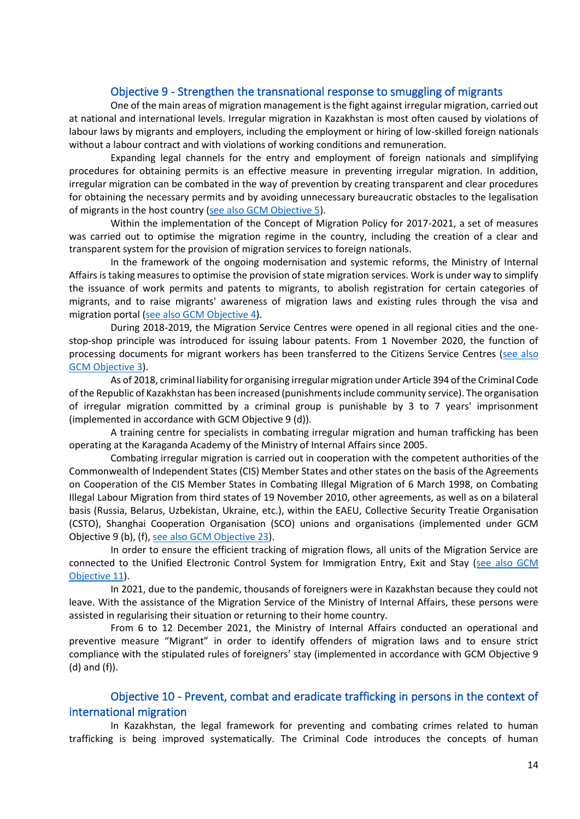#### Objective 9 - Strengthen the transnational response to smuggling of migrants

One of the main areas of migration management is the fight against irregular migration, carried out at national and international levels. Irregular migration in Kazakhstan is most often caused by violations of labour laws by migrants and employers, including the employment or hiring of low-skilled foreign nationals without a labour contract and with violations of working conditions and remuneration.

Expanding legal channels for the entry and employment of foreign nationals and simplifying procedures for obtaining permits is an effective measure in preventing irregular migration. In addition, irregular migration can be combated in the way of prevention by creating transparent and clear procedures for obtaining the necessary permits and by avoiding unnecessary bureaucratic obstacles to the legalisation of migrants in the host country [\(see also GCM Objective](#page-9-0) 5).

Within the implementation of the Concept of Migration Policy for 2017-2021, a set of measures was carried out to optimise the migration regime in the country, including the creation of a clear and transparent system for the provision of migration services to foreign nationals.

In the framework of the ongoing modernisation and systemic reforms, the Ministry of Internal Affairs is taking measures to optimise the provision of state migration services. Work is under way to simplify the issuance of work permits and patents to migrants, to abolish registration for certain categories of migrants, and to raise migrants' awareness of migration laws and existing rules through the visa and migration portal [\(see also GCM Objective 4\)](#page-8-0).

During 2018-2019, the Migration Service Centres were opened in all regional cities and the onestop-shop principle was introduced for issuing labour patents. From 1 November 2020, the function of processing documents for migrant workers has been transferred to the Citizens Service Centres [\(see also](#page-7-0)  [GCM Objective 3\)](#page-7-0).

As of 2018, criminal liability for organising irregular migration under Article 394 of the Criminal Code of the Republic of Kazakhstan has been increased (punishments include community service). The organisation of irregular migration committed by a criminal group is punishable by 3 to 7 years' imprisonment (implemented in accordance with GCM Objective 9 (d)).

A training centre for specialists in combating irregular migration and human trafficking has been operating at the Karaganda Academy of the Ministry of Internal Affairs since 2005.

Combating irregular migration is carried out in cooperation with the competent authorities of the Commonwealth of Independent States (CIS) Member States and other states on the basis of the Agreements on Cooperation of the CIS Member States in Combating Illegal Migration of 6 March 1998, on Combating Illegal Labour Migration from third states of 19 November 2010, other agreements, as well as on a bilateral basis (Russia, Belarus, Uzbekistan, Ukraine, etc.), within the EAEU, Collective Security Treatie Organisation (CSTO), Shanghai Cooperation Organisation (SCO) unions and organisations (implemented under GCM Objective 9 (b), (f), [see also GCM Objective 23\)](#page-23-0).

In order to ensure the efficient tracking of migration flows, all units of the Migration Service are connected to the Unified Electronic Control System for Immigration Entry, Exit and Stay (see also GCM [Objective 11\)](#page-16-0).

In 2021, due to the pandemic, thousands of foreigners were in Kazakhstan because they could not leave. With the assistance of the Migration Service of the Ministry of Internal Affairs, these persons were assisted in regularising their situation or returning to their home country.

From 6 to 12 December 2021, the Ministry of Internal Affairs conducted an operational and preventive measure "Migrant" in order to identify offenders of migration laws and to ensure strict compliance with the stipulated rules of foreigners' stay (implemented in accordance with GCM Objective 9 (d) and (f)).

#### Objective 10 - Prevent, combat and eradicate trafficking in persons in the context of international migration

In Kazakhstan, the legal framework for preventing and combating crimes related to human trafficking is being improved systematically. The Criminal Code introduces the concepts of human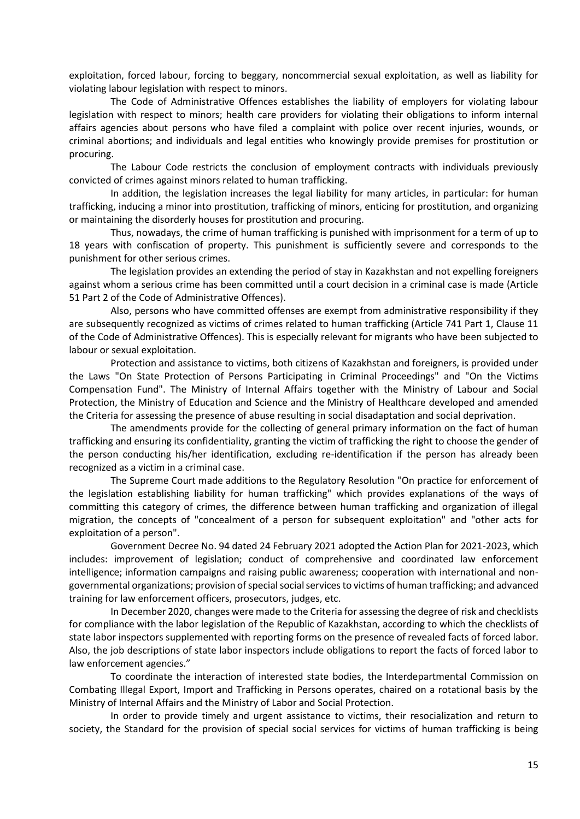exploitation, forced labour, forcing to beggary, noncommercial sexual exploitation, as well as liability for violating labour legislation with respect to minors.

The Code of Administrative Offences establishes the liability of employers for violating labour legislation with respect to minors; health care providers for violating their obligations to inform internal affairs agencies about persons who have filed a complaint with police over recent injuries, wounds, or criminal abortions; and individuals and legal entities who knowingly provide premises for prostitution or procuring.

The Labour Code restricts the conclusion of employment contracts with individuals previously convicted of crimes against minors related to human trafficking.

In addition, the legislation increases the legal liability for many articles, in particular: for human trafficking, inducing a minor into prostitution, trafficking of minors, enticing for prostitution, and organizing or maintaining the disorderly houses for prostitution and procuring.

Thus, nowadays, the crime of human trafficking is punished with imprisonment for a term of up to 18 years with confiscation of property. This punishment is sufficiently severe and corresponds to the punishment for other serious crimes.

The legislation provides an extending the period of stay in Kazakhstan and not expelling foreigners against whom a serious crime has been committed until a court decision in a criminal case is made (Article 51 Part 2 of the Code of Administrative Offences).

Also, persons who have committed offenses are exempt from administrative responsibility if they are subsequently recognized as victims of crimes related to human trafficking (Article 741 Part 1, Clause 11 of the Code of Administrative Offences). This is especially relevant for migrants who have been subjected to labour or sexual exploitation.

Protection and assistance to victims, both citizens of Kazakhstan and foreigners, is provided under the Laws "On State Protection of Persons Participating in Criminal Proceedings" and "On the Victims Compensation Fund". The Ministry of Internal Affairs together with the Ministry of Labour and Social Protection, the Ministry of Education and Science and the Ministry of Healthcare developed and amended the Criteria for assessing the presence of abuse resulting in social disadaptation and social deprivation.

The amendments provide for the collecting of general primary information on the fact of human trafficking and ensuring its confidentiality, granting the victim of trafficking the right to choose the gender of the person conducting his/her identification, excluding re-identification if the person has already been recognized as a victim in a criminal case.

The Supreme Court made additions to the Regulatory Resolution "On practice for enforcement of the legislation establishing liability for human trafficking" which provides explanations of the ways of committing this category of crimes, the difference between human trafficking and organization of illegal migration, the concepts of "concealment of a person for subsequent exploitation" and "other acts for exploitation of a person".

Government Decree No. 94 dated 24 February 2021 adopted the Action Plan for 2021-2023, which includes: improvement of legislation; conduct of comprehensive and coordinated law enforcement intelligence; information campaigns and raising public awareness; cooperation with international and nongovernmental organizations; provision of special social services to victims of human trafficking; and advanced training for law enforcement officers, prosecutors, judges, etc.

In December 2020, changes were made to the Criteria for assessing the degree of risk and checklists for compliance with the labor legislation of the Republic of Kazakhstan, according to which the checklists of state labor inspectors supplemented with reporting forms on the presence of revealed facts of forced labor. Also, the job descriptions of state labor inspectors include obligations to report the facts of forced labor to law enforcement agencies."

To coordinate the interaction of interested state bodies, the Interdepartmental Commission on Combating Illegal Export, Import and Trafficking in Persons operates, chaired on a rotational basis by the Ministry of Internal Affairs and the Ministry of Labor and Social Protection.

In order to provide timely and urgent assistance to victims, their resocialization and return to society, the Standard for the provision of special social services for victims of human trafficking is being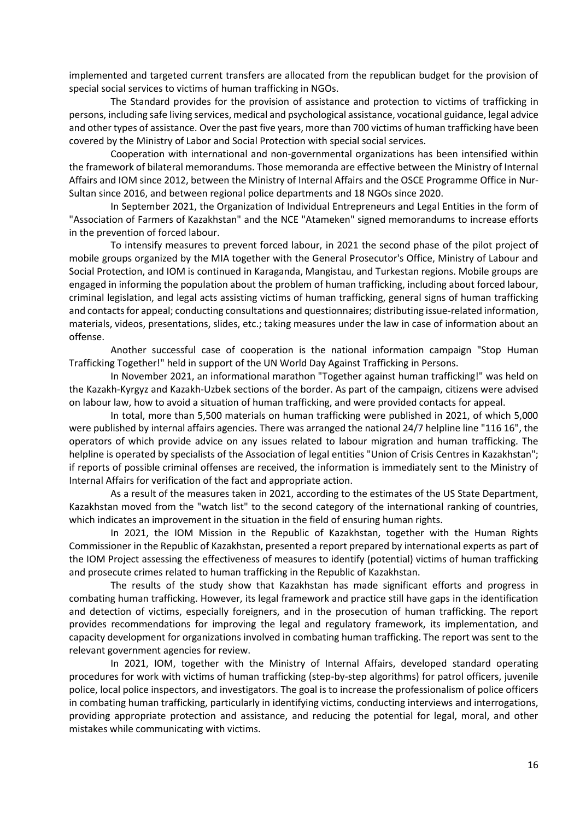implemented and targeted current transfers are allocated from the republican budget for the provision of special social services to victims of human trafficking in NGOs.

The Standard provides for the provision of assistance and protection to victims of trafficking in persons, including safe living services, medical and psychological assistance, vocational guidance, legal advice and other types of assistance. Over the past five years, more than 700 victims of human trafficking have been covered by the Ministry of Labor and Social Protection with special social services.

Cooperation with international and non-governmental organizations has been intensified within the framework of bilateral memorandums. Those memoranda are effective between the Ministry of Internal Affairs and IOM since 2012, between the Ministry of Internal Affairs and the OSCE Programme Office in Nur-Sultan since 2016, and between regional police departments and 18 NGOs since 2020.

In September 2021, the Organization of Individual Entrepreneurs and Legal Entities in the form of "Association of Farmers of Kazakhstan" and the NCE "Atameken" signed memorandums to increase efforts in the prevention of forced labour.

To intensify measures to prevent forced labour, in 2021 the second phase of the pilot project of mobile groups organized by the MIA together with the General Prosecutor's Office, Ministry of Labour and Social Protection, and IOM is continued in Karaganda, Mangistau, and Turkestan regions. Mobile groups are engaged in informing the population about the problem of human trafficking, including about forced labour, criminal legislation, and legal acts assisting victims of human trafficking, general signs of human trafficking and contacts for appeal; conducting consultations and questionnaires; distributing issue-related information, materials, videos, presentations, slides, etc.; taking measures under the law in case of information about an offense.

Another successful case of cooperation is the national information campaign "Stop Human Trafficking Together!" held in support of the UN World Day Against Trafficking in Persons.

In November 2021, an informational marathon "Together against human trafficking!" was held on the Kazakh-Kyrgyz and Kazakh-Uzbek sections of the border. As part of the campaign, citizens were advised on labour law, how to avoid a situation of human trafficking, and were provided contacts for appeal.

In total, more than 5,500 materials on human trafficking were published in 2021, of which 5,000 were published by internal affairs agencies. There was arranged the national 24/7 helpline line "116 16", the operators of which provide advice on any issues related to labour migration and human trafficking. The helpline is operated by specialists of the Association of legal entities "Union of Crisis Centres in Kazakhstan"; if reports of possible criminal offenses are received, the information is immediately sent to the Ministry of Internal Affairs for verification of the fact and appropriate action.

As a result of the measures taken in 2021, according to the estimates of the US State Department, Kazakhstan moved from the "watch list" to the second category of the international ranking of countries, which indicates an improvement in the situation in the field of ensuring human rights.

In 2021, the IOM Mission in the Republic of Kazakhstan, together with the Human Rights Commissioner in the Republic of Kazakhstan, presented a report prepared by international experts as part of the IOM Project assessing the effectiveness of measures to identify (potential) victims of human trafficking and prosecute crimes related to human trafficking in the Republic of Kazakhstan.

The results of the study show that Kazakhstan has made significant efforts and progress in combating human trafficking. However, its legal framework and practice still have gaps in the identification and detection of victims, especially foreigners, and in the prosecution of human trafficking. The report provides recommendations for improving the legal and regulatory framework, its implementation, and capacity development for organizations involved in combating human trafficking. The report was sent to the relevant government agencies for review.

In 2021, IOM, together with the Ministry of Internal Affairs, developed standard operating procedures for work with victims of human trafficking (step-by-step algorithms) for patrol officers, juvenile police, local police inspectors, and investigators. The goal is to increase the professionalism of police officers in combating human trafficking, particularly in identifying victims, conducting interviews and interrogations, providing appropriate protection and assistance, and reducing the potential for legal, moral, and other mistakes while communicating with victims.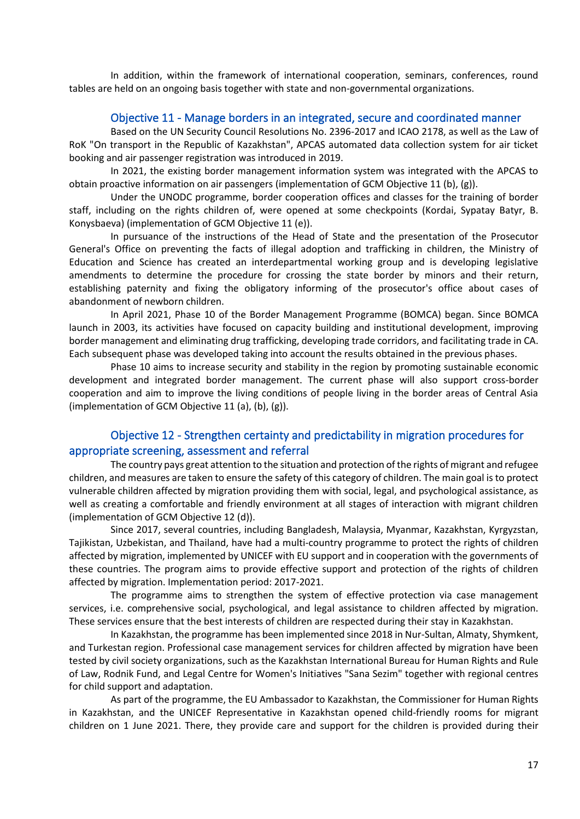In addition, within the framework of international cooperation, seminars, conferences, round tables are held on an ongoing basis together with state and non-governmental organizations.

#### Objective 11 - Manage borders in an integrated, secure and coordinated manner

<span id="page-16-0"></span>Based on the UN Security Council Resolutions No. 2396-2017 and ICAO 2178, as well as the Law of RoK "On transport in the Republic of Kazakhstan", APCAS automated data collection system for air ticket booking and air passenger registration was introduced in 2019.

In 2021, the existing border management information system was integrated with the APCAS to obtain proactive information on air passengers (implementation of GCM Objective 11 (b), (g)).

Under the UNODC programme, border cooperation offices and classes for the training of border staff, including on the rights children of, were opened at some checkpoints (Kordai, Sypatay Batyr, B. Konysbaeva) (implementation of GCM Objective 11 (e)).

In pursuance of the instructions of the Head of State and the presentation of the Prosecutor General's Office on preventing the facts of illegal adoption and trafficking in children, the Ministry of Education and Science has created an interdepartmental working group and is developing legislative amendments to determine the procedure for crossing the state border by minors and their return, establishing paternity and fixing the obligatory informing of the prosecutor's office about cases of abandonment of newborn children.

In April 2021, Phase 10 of the Border Management Programme (BOMCA) began. Since BOMCA launch in 2003, its activities have focused on capacity building and institutional development, improving border management and eliminating drug trafficking, developing trade corridors, and facilitating trade in CA. Each subsequent phase was developed taking into account the results obtained in the previous phases.

Phase 10 aims to increase security and stability in the region by promoting sustainable economic development and integrated border management. The current phase will also support cross-border cooperation and aim to improve the living conditions of people living in the border areas of Central Asia (implementation of GCM Objective 11 (a), (b), (g)).

#### Objective 12 - Strengthen certainty and predictability in migration procedures for appropriate screening, assessment and referral

The country pays great attention to the situation and protection of the rights of migrant and refugee children, and measures are taken to ensure the safety of this category of children. The main goal is to protect vulnerable children affected by migration providing them with social, legal, and psychological assistance, as well as creating a comfortable and friendly environment at all stages of interaction with migrant children (implementation of GCM Objective 12 (d)).

Since 2017, several countries, including Bangladesh, Malaysia, Myanmar, Kazakhstan, Kyrgyzstan, Tajikistan, Uzbekistan, and Thailand, have had a multi-country programme to protect the rights of children affected by migration, implemented by UNICEF with EU support and in cooperation with the governments of these countries. The program aims to provide effective support and protection of the rights of children affected by migration. Implementation period: 2017-2021.

The programme aims to strengthen the system of effective protection via case management services, i.e. comprehensive social, psychological, and legal assistance to children affected by migration. These services ensure that the best interests of children are respected during their stay in Kazakhstan.

In Kazakhstan, the programme has been implemented since 2018 in Nur-Sultan, Almaty, Shymkent, and Turkestan region. Professional case management services for children affected by migration have been tested by civil society organizations, such as the Kazakhstan International Bureau for Human Rights and Rule of Law, Rodnik Fund, and Legal Centre for Women's Initiatives "Sana Sezim" together with regional centres for child support and adaptation.

As part of the programme, the EU Ambassador to Kazakhstan, the Commissioner for Human Rights in Kazakhstan, and the UNICEF Representative in Kazakhstan opened child-friendly rooms for migrant children on 1 June 2021. There, they provide care and support for the children is provided during their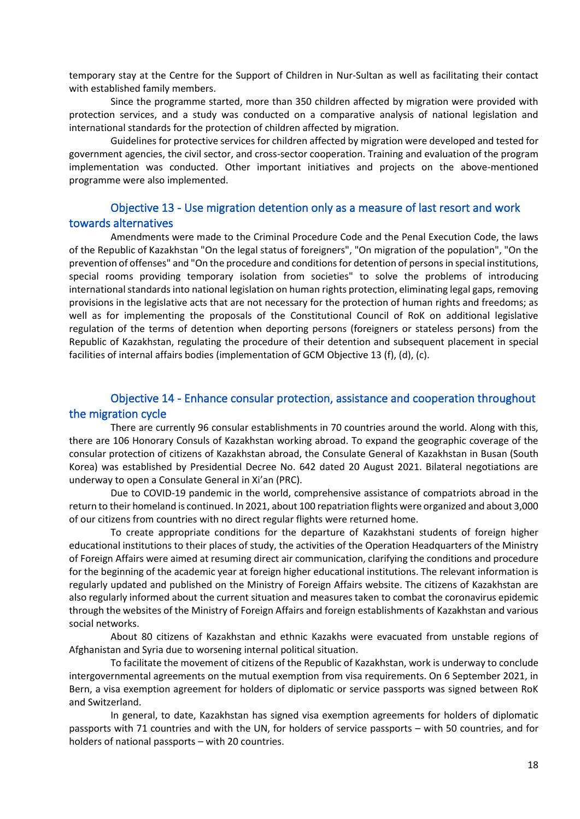temporary stay at the Centre for the Support of Children in Nur-Sultan as well as facilitating their contact with established family members.

Since the programme started, more than 350 children affected by migration were provided with protection services, and a study was conducted on a comparative analysis of national legislation and international standards for the protection of children affected by migration.

Guidelines for protective services for children affected by migration were developed and tested for government agencies, the civil sector, and cross-sector cooperation. Training and evaluation of the program implementation was conducted. Other important initiatives and projects on the above-mentioned programme were also implemented.

# Objective 13 - Use migration detention only as a measure of last resort and work towards alternatives

Amendments were made to the Criminal Procedure Code and the Penal Execution Code, the laws of the Republic of Kazakhstan "On the legal status of foreigners", "On migration of the population", "On the prevention of offenses" and "On the procedure and conditions for detention of persons in special institutions, special rooms providing temporary isolation from societies" to solve the problems of introducing international standards into national legislation on human rights protection, eliminating legal gaps, removing provisions in the legislative acts that are not necessary for the protection of human rights and freedoms; as well as for implementing the proposals of the Constitutional Council of RoK on additional legislative regulation of the terms of detention when deporting persons (foreigners or stateless persons) from the Republic of Kazakhstan, regulating the procedure of their detention and subsequent placement in special facilities of internal affairs bodies (implementation of GCM Objective 13 (f), (d), (c).

# Objective 14 - Enhance consular protection, assistance and cooperation throughout the migration cycle

There are currently 96 consular establishments in 70 countries around the world. Along with this, there are 106 Honorary Consuls of Kazakhstan working abroad. To expand the geographic coverage of the consular protection of citizens of Kazakhstan abroad, the Consulate General of Kazakhstan in Busan (South Korea) was established by Presidential Decree No. 642 dated 20 August 2021. Bilateral negotiations are underway to open a Consulate General in Xi'an (PRC).

Due to COVID-19 pandemic in the world, comprehensive assistance of compatriots abroad in the return to their homeland is continued. In 2021, about 100 repatriation flights were organized and about 3,000 of our citizens from countries with no direct regular flights were returned home.

To create appropriate conditions for the departure of Kazakhstani students of foreign higher educational institutions to their places of study, the activities of the Operation Headquarters of the Ministry of Foreign Affairs were aimed at resuming direct air communication, clarifying the conditions and procedure for the beginning of the academic year at foreign higher educational institutions. The relevant information is regularly updated and published on the Ministry of Foreign Affairs website. The citizens of Kazakhstan are also regularly informed about the current situation and measures taken to combat the coronavirus epidemic through the websites of the Ministry of Foreign Affairs and foreign establishments of Kazakhstan and various social networks.

About 80 citizens of Kazakhstan and ethnic Kazakhs were evacuated from unstable regions of Afghanistan and Syria due to worsening internal political situation.

To facilitate the movement of citizens of the Republic of Kazakhstan, work is underway to conclude intergovernmental agreements on the mutual exemption from visa requirements. On 6 September 2021, in Bern, a visa exemption agreement for holders of diplomatic or service passports was signed between RoK and Switzerland.

In general, to date, Kazakhstan has signed visa exemption agreements for holders of diplomatic passports with 71 countries and with the UN, for holders of service passports – with 50 countries, and for holders of national passports – with 20 countries.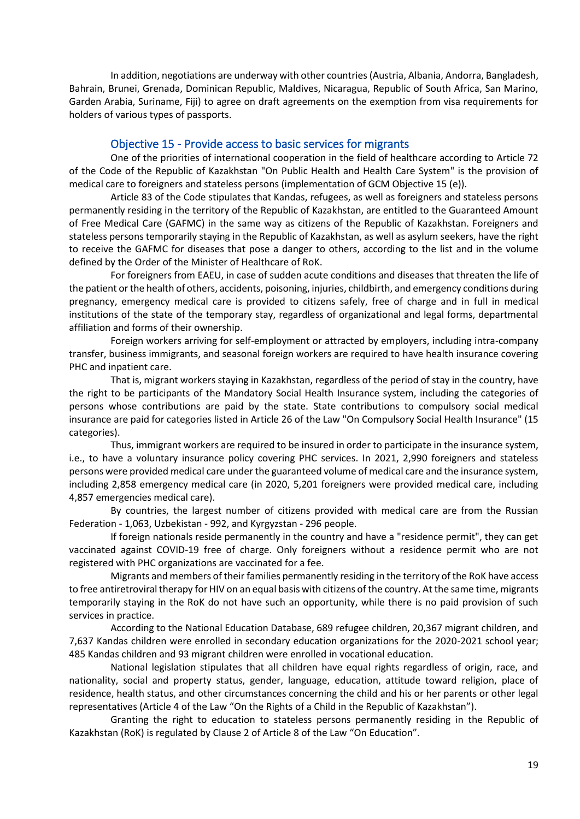In addition, negotiations are underway with other countries (Austria, Albania, Andorra, Bangladesh, Bahrain, Brunei, Grenada, Dominican Republic, Maldives, Nicaragua, Republic of South Africa, San Marino, Garden Arabia, Suriname, Fiji) to agree on draft agreements on the exemption from visa requirements for holders of various types of passports.

#### Objective 15 - Provide access to basic services for migrants

One of the priorities of international cooperation in the field of healthcare according to Article 72 of the Code of the Republic of Kazakhstan "On Public Health and Health Care System" is the provision of medical care to foreigners and stateless persons (implementation of GCM Objective 15 (e)).

Article 83 of the Code stipulates that Kandas, refugees, as well as foreigners and stateless persons permanently residing in the territory of the Republic of Kazakhstan, are entitled to the Guaranteed Amount of Free Medical Care (GAFMC) in the same way as citizens of the Republic of Kazakhstan. Foreigners and stateless persons temporarily staying in the Republic of Kazakhstan, as well as asylum seekers, have the right to receive the GAFMC for diseases that pose a danger to others, according to the list and in the volume defined by the Order of the Minister of Healthcare of RoK.

For foreigners from EAEU, in case of sudden acute conditions and diseases that threaten the life of the patient or the health of others, accidents, poisoning, injuries, childbirth, and emergency conditions during pregnancy, emergency medical care is provided to citizens safely, free of charge and in full in medical institutions of the state of the temporary stay, regardless of organizational and legal forms, departmental affiliation and forms of their ownership.

Foreign workers arriving for self-employment or attracted by employers, including intra-company transfer, business immigrants, and seasonal foreign workers are required to have health insurance covering PHC and inpatient care.

That is, migrant workers staying in Kazakhstan, regardless of the period of stay in the country, have the right to be participants of the Mandatory Social Health Insurance system, including the categories of persons whose contributions are paid by the state. State contributions to compulsory social medical insurance are paid for categories listed in Article 26 of the Law "On Compulsory Social Health Insurance" (15 categories).

Thus, immigrant workers are required to be insured in order to participate in the insurance system, i.e., to have a voluntary insurance policy covering PHC services. In 2021, 2,990 foreigners and stateless persons were provided medical care under the guaranteed volume of medical care and the insurance system, including 2,858 emergency medical care (in 2020, 5,201 foreigners were provided medical care, including 4,857 emergencies medical care).

By countries, the largest number of citizens provided with medical care are from the Russian Federation - 1,063, Uzbekistan - 992, and Kyrgyzstan - 296 people.

If foreign nationals reside permanently in the country and have a "residence permit", they can get vaccinated against COVID-19 free of charge. Only foreigners without a residence permit who are not registered with PHC organizations are vaccinated for a fee.

Migrants and members of their families permanently residing in the territory of the RoK have access to free antiretroviral therapy for HIV on an equal basis with citizens of the country. At the same time, migrants temporarily staying in the RoK do not have such an opportunity, while there is no paid provision of such services in practice.

According to the National Education Database, 689 refugee children, 20,367 migrant children, and 7,637 Kandas children were enrolled in secondary education organizations for the 2020-2021 school year; 485 Kandas children and 93 migrant children were enrolled in vocational education.

National legislation stipulates that all children have equal rights regardless of origin, race, and nationality, social and property status, gender, language, education, attitude toward religion, place of residence, health status, and other circumstances concerning the child and his or her parents or other legal representatives (Article 4 of the Law "On the Rights of a Child in the Republic of Kazakhstan").

Granting the right to education to stateless persons permanently residing in the Republic of Kazakhstan (RoK) is regulated by Clause 2 of Article 8 of the Law "On Education".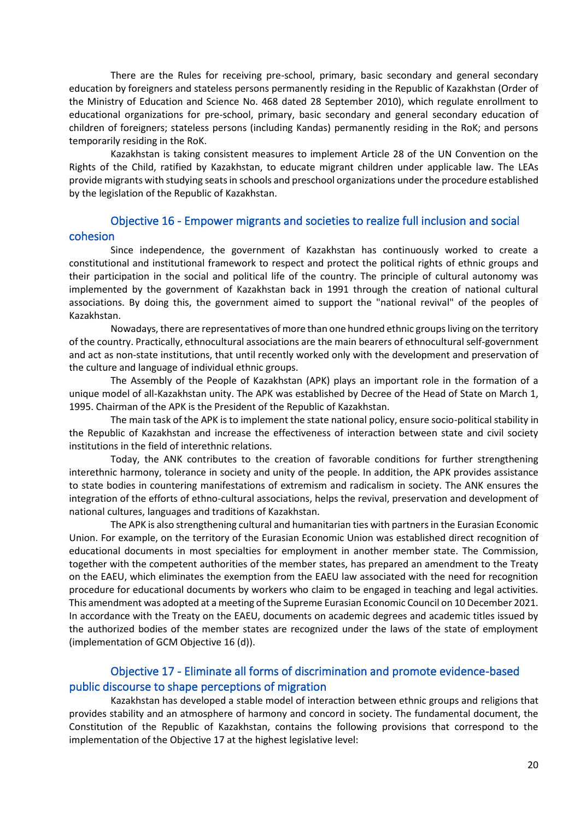There are the Rules for receiving pre-school, primary, basic secondary and general secondary education by foreigners and stateless persons permanently residing in the Republic of Kazakhstan (Order of the Ministry of Education and Science No. 468 dated 28 September 2010), which regulate enrollment to educational organizations for pre-school, primary, basic secondary and general secondary education of children of foreigners; stateless persons (including Kandas) permanently residing in the RoK; and persons temporarily residing in the RoK.

Kazakhstan is taking consistent measures to implement Article 28 of the UN Convention on the Rights of the Child, ratified by Kazakhstan, to educate migrant children under applicable law. The LEAs provide migrants with studying seats in schools and preschool organizations under the procedure established by the legislation of the Republic of Kazakhstan.

#### Objective 16 - Empower migrants and societies to realize full inclusion and social cohesion

Since independence, the government of Kazakhstan has continuously worked to create a constitutional and institutional framework to respect and protect the political rights of ethnic groups and their participation in the social and political life of the country. The principle of cultural autonomy was implemented by the government of Kazakhstan back in 1991 through the creation of national cultural associations. By doing this, the government aimed to support the "national revival" of the peoples of Kazakhstan.

Nowadays, there are representatives of more than one hundred ethnic groups living on the territory of the country. Practically, ethnocultural associations are the main bearers of ethnocultural self-government and act as non-state institutions, that until recently worked only with the development and preservation of the culture and language of individual ethnic groups.

The Assembly of the People of Kazakhstan (APK) plays an important role in the formation of a unique model of all-Kazakhstan unity. The APK was established by Decree of the Head of State on March 1, 1995. Chairman of the APK is the President of the Republic of Kazakhstan.

The main task of the APK is to implement the state national policy, ensure socio-political stability in the Republic of Kazakhstan and increase the effectiveness of interaction between state and civil society institutions in the field of interethnic relations.

Today, the ANK contributes to the creation of favorable conditions for further strengthening interethnic harmony, tolerance in society and unity of the people. In addition, the APK provides assistance to state bodies in countering manifestations of extremism and radicalism in society. The ANK ensures the integration of the efforts of ethno-cultural associations, helps the revival, preservation and development of national cultures, languages and traditions of Kazakhstan.

The APK is also strengthening cultural and humanitarian ties with partners in the Eurasian Economic Union. For example, on the territory of the Eurasian Economic Union was established direct recognition of educational documents in most specialties for employment in another member state. The Commission, together with the competent authorities of the member states, has prepared an amendment to the Treaty on the EAEU, which eliminates the exemption from the EAEU law associated with the need for recognition procedure for educational documents by workers who claim to be engaged in teaching and legal activities. This amendment was adopted at a meeting of the Supreme Eurasian Economic Council on 10 December 2021. In accordance with the Treaty on the EAEU, documents on academic degrees and academic titles issued by the authorized bodies of the member states are recognized under the laws of the state of employment (implementation of GCM Objective 16 (d)).

# Objective 17 - Eliminate all forms of discrimination and promote evidence-based public discourse to shape perceptions of migration

Kazakhstan has developed a stable model of interaction between ethnic groups and religions that provides stability and an atmosphere of harmony and concord in society. The fundamental document, the Constitution of the Republic of Kazakhstan, contains the following provisions that correspond to the implementation of the Objective 17 at the highest legislative level: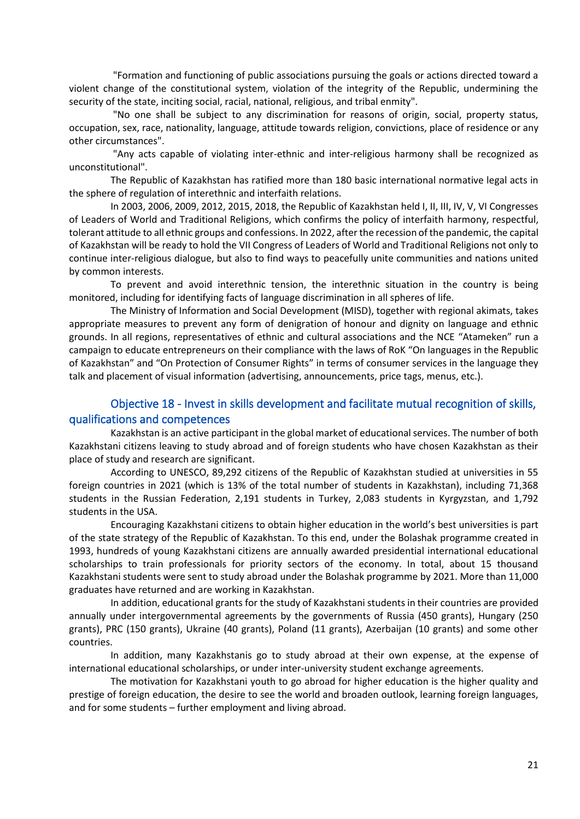"Formation and functioning of public associations pursuing the goals or actions directed toward a violent change of the constitutional system, violation of the integrity of the Republic, undermining the security of the state, inciting social, racial, national, religious, and tribal enmity".

"No one shall be subject to any discrimination for reasons of origin, social, property status, occupation, sex, race, nationality, language, attitude towards religion, convictions, place of residence or any other circumstances".

"Any acts capable of violating inter-ethnic and inter-religious harmony shall be recognized as unconstitutional".

The Republic of Kazakhstan has ratified more than 180 basic international normative legal acts in the sphere of regulation of interethnic and interfaith relations.

In 2003, 2006, 2009, 2012, 2015, 2018, the Republic of Kazakhstan held I, II, III, IV, V, VI Congresses of Leaders of World and Traditional Religions, which confirms the policy of interfaith harmony, respectful, tolerant attitude to all ethnic groups and confessions. In 2022, after the recession of the pandemic, the capital of Kazakhstan will be ready to hold the VII Congress of Leaders of World and Traditional Religions not only to continue inter-religious dialogue, but also to find ways to peacefully unite communities and nations united by common interests.

To prevent and avoid interethnic tension, the interethnic situation in the country is being monitored, including for identifying facts of language discrimination in all spheres of life.

The Ministry of Information and Social Development (MISD), together with regional akimats, takes appropriate measures to prevent any form of denigration of honour and dignity on language and ethnic grounds. In all regions, representatives of ethnic and cultural associations and the NCE "Atameken" run a campaign to educate entrepreneurs on their compliance with the laws of RoK "On languages in the Republic of Kazakhstan" and "On Protection of Consumer Rights" in terms of consumer services in the language they talk and placement of visual information (advertising, announcements, price tags, menus, etc.).

# Objective 18 - Invest in skills development and facilitate mutual recognition of skills, qualifications and competences

Kazakhstan is an active participant in the global market of educational services. The number of both Kazakhstani citizens leaving to study abroad and of foreign students who have chosen Kazakhstan as their place of study and research are significant.

According to UNESCO, 89,292 citizens of the Republic of Kazakhstan studied at universities in 55 foreign countries in 2021 (which is 13% of the total number of students in Kazakhstan), including 71,368 students in the Russian Federation, 2,191 students in Turkey, 2,083 students in Kyrgyzstan, and 1,792 students in the USA.

Encouraging Kazakhstani citizens to obtain higher education in the world's best universities is part of the state strategy of the Republic of Kazakhstan. To this end, under the Bolashak programme created in 1993, hundreds of young Kazakhstani citizens are annually awarded presidential international educational scholarships to train professionals for priority sectors of the economy. In total, about 15 thousand Kazakhstani students were sent to study abroad under the Bolashak programme by 2021. More than 11,000 graduates have returned and are working in Kazakhstan.

In addition, educational grants for the study of Kazakhstani students in their countries are provided annually under intergovernmental agreements by the governments of Russia (450 grants), Hungary (250 grants), PRC (150 grants), Ukraine (40 grants), Poland (11 grants), Azerbaijan (10 grants) and some other countries.

In addition, many Kazakhstanis go to study abroad at their own expense, at the expense of international educational scholarships, or under inter-university student exchange agreements.

The motivation for Kazakhstani youth to go abroad for higher education is the higher quality and prestige of foreign education, the desire to see the world and broaden outlook, learning foreign languages, and for some students – further employment and living abroad.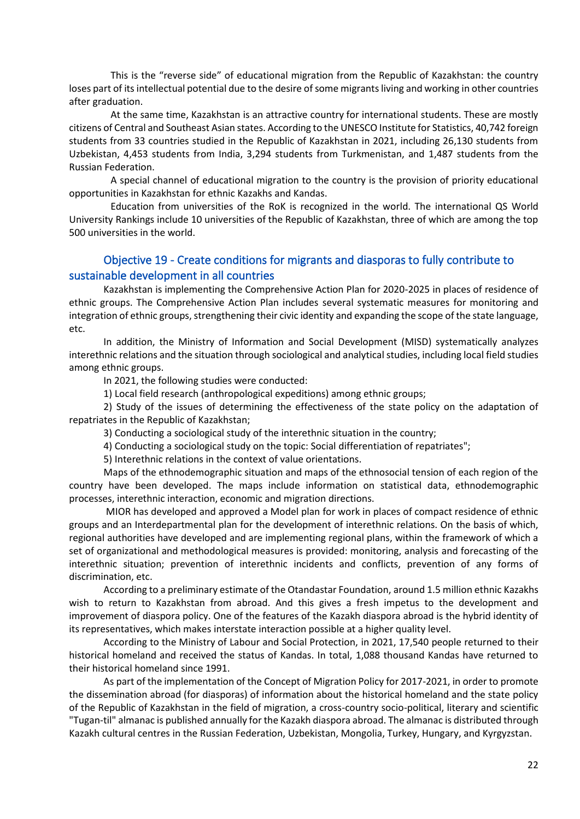This is the "reverse side" of educational migration from the Republic of Kazakhstan: the country loses part of its intellectual potential due to the desire of some migrants living and working in other countries after graduation.

At the same time, Kazakhstan is an attractive country for international students. These are mostly citizens of Central and Southeast Asian states. According to the UNESCO Institute for Statistics, 40,742 foreign students from 33 countries studied in the Republic of Kazakhstan in 2021, including 26,130 students from Uzbekistan, 4,453 students from India, 3,294 students from Turkmenistan, and 1,487 students from the Russian Federation.

A special channel of educational migration to the country is the provision of priority educational opportunities in Kazakhstan for ethnic Kazakhs and Kandas.

Education from universities of the RoK is recognized in the world. The international QS World University Rankings include 10 universities of the Republic of Kazakhstan, three of which are among the top 500 universities in the world.

# Objective 19 - Create conditions for migrants and diasporas to fully contribute to sustainable development in all countries

Kazakhstan is implementing the Comprehensive Action Plan for 2020-2025 in places of residence of ethnic groups. The Comprehensive Action Plan includes several systematic measures for monitoring and integration of ethnic groups, strengthening their civic identity and expanding the scope of the state language, etc.

In addition, the Ministry of Information and Social Development (MISD) systematically analyzes interethnic relations and the situation through sociological and analytical studies, including local field studies among ethnic groups.

In 2021, the following studies were conducted:

1) Local field research (anthropological expeditions) among ethnic groups;

2) Study of the issues of determining the effectiveness of the state policy on the adaptation of repatriates in the Republic of Kazakhstan;

3) Conducting a sociological study of the interethnic situation in the country;

4) Conducting a sociological study on the topic: Social differentiation of repatriates";

5) Interethnic relations in the context of value orientations.

Maps of the ethnodemographic situation and maps of the ethnosocial tension of each region of the country have been developed. The maps include information on statistical data, ethnodemographic processes, interethnic interaction, economic and migration directions.

MIOR has developed and approved a Model plan for work in places of compact residence of ethnic groups and an Interdepartmental plan for the development of interethnic relations. On the basis of which, regional authorities have developed and are implementing regional plans, within the framework of which a set of organizational and methodological measures is provided: monitoring, analysis and forecasting of the interethnic situation; prevention of interethnic incidents and conflicts, prevention of any forms of discrimination, etc.

According to a preliminary estimate of the Otandastar Foundation, around 1.5 million ethnic Kazakhs wish to return to Kazakhstan from abroad. And this gives a fresh impetus to the development and improvement of diaspora policy. One of the features of the Kazakh diaspora abroad is the hybrid identity of its representatives, which makes interstate interaction possible at a higher quality level.

According to the Ministry of Labour and Social Protection, in 2021, 17,540 people returned to their historical homeland and received the status of Kandas. In total, 1,088 thousand Kandas have returned to their historical homeland since 1991.

As part of the implementation of the Concept of Migration Policy for 2017-2021, in order to promote the dissemination abroad (for diasporas) of information about the historical homeland and the state policy of the Republic of Kazakhstan in the field of migration, a cross-country socio-political, literary and scientific "Tugan-til" almanac is published annually for the Kazakh diaspora abroad. The almanac is distributed through Kazakh cultural centres in the Russian Federation, Uzbekistan, Mongolia, Turkey, Hungary, and Kyrgyzstan.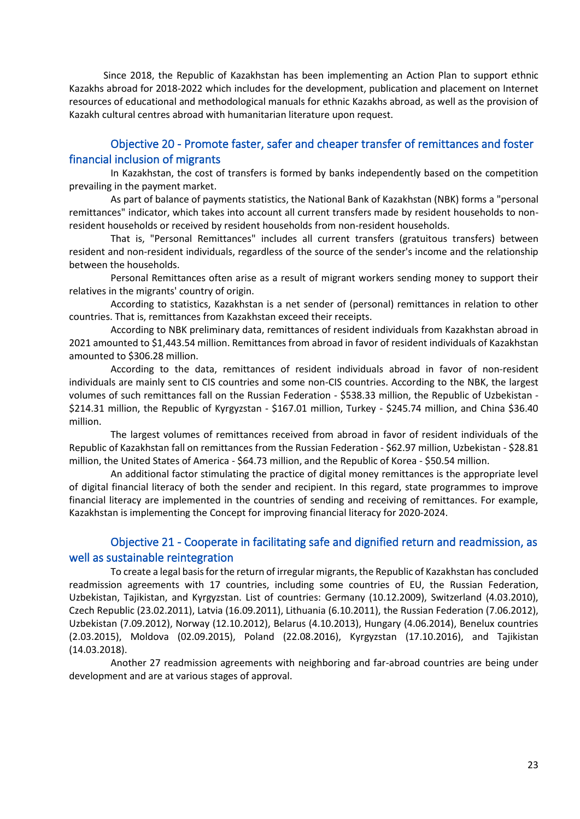Since 2018, the Republic of Kazakhstan has been implementing an Action Plan to support ethnic Kazakhs abroad for 2018-2022 which includes for the development, publication and placement on Internet resources of educational and methodological manuals for ethnic Kazakhs abroad, as well as the provision of Kazakh cultural centres abroad with humanitarian literature upon request.

# Objective 20 - Promote faster, safer and cheaper transfer of remittances and foster financial inclusion of migrants

In Kazakhstan, the cost of transfers is formed by banks independently based on the competition prevailing in the payment market.

As part of balance of payments statistics, the National Bank of Kazakhstan (NBK) forms a "personal remittances" indicator, which takes into account all current transfers made by resident households to nonresident households or received by resident households from non-resident households.

That is, "Personal Remittances" includes all current transfers (gratuitous transfers) between resident and non-resident individuals, regardless of the source of the sender's income and the relationship between the households.

Personal Remittances often arise as a result of migrant workers sending money to support their relatives in the migrants' country of origin.

According to statistics, Kazakhstan is a net sender of (personal) remittances in relation to other countries. That is, remittances from Kazakhstan exceed their receipts.

According to NBK preliminary data, remittances of resident individuals from Kazakhstan abroad in 2021 amounted to \$1,443.54 million. Remittances from abroad in favor of resident individuals of Kazakhstan amounted to \$306.28 million.

According to the data, remittances of resident individuals abroad in favor of non-resident individuals are mainly sent to CIS countries and some non-CIS countries. According to the NBK, the largest volumes of such remittances fall on the Russian Federation - \$538.33 million, the Republic of Uzbekistan - \$214.31 million, the Republic of Kyrgyzstan - \$167.01 million, Turkey - \$245.74 million, and China \$36.40 million.

The largest volumes of remittances received from abroad in favor of resident individuals of the Republic of Kazakhstan fall on remittances from the Russian Federation - \$62.97 million, Uzbekistan - \$28.81 million, the United States of America - \$64.73 million, and the Republic of Korea - \$50.54 million.

An additional factor stimulating the practice of digital money remittances is the appropriate level of digital financial literacy of both the sender and recipient. In this regard, state programmes to improve financial literacy are implemented in the countries of sending and receiving of remittances. For example, Kazakhstan is implementing the Concept for improving financial literacy for 2020-2024.

# Objective 21 - Cooperate in facilitating safe and dignified return and readmission, as well as sustainable reintegration

To create a legal basis for the return of irregular migrants, the Republic of Kazakhstan has concluded readmission agreements with 17 countries, including some countries of EU, the Russian Federation, Uzbekistan, Tajikistan, and Kyrgyzstan. List of countries: Germany (10.12.2009), Switzerland (4.03.2010), Czech Republic (23.02.2011), Latvia (16.09.2011), Lithuania (6.10.2011), the Russian Federation (7.06.2012), Uzbekistan (7.09.2012), Norway (12.10.2012), Belarus (4.10.2013), Hungary (4.06.2014), Benelux countries (2.03.2015), Moldova (02.09.2015), Poland (22.08.2016), Kyrgyzstan (17.10.2016), and Tajikistan (14.03.2018).

Another 27 readmission agreements with neighboring and far-abroad countries are being under development and are at various stages of approval.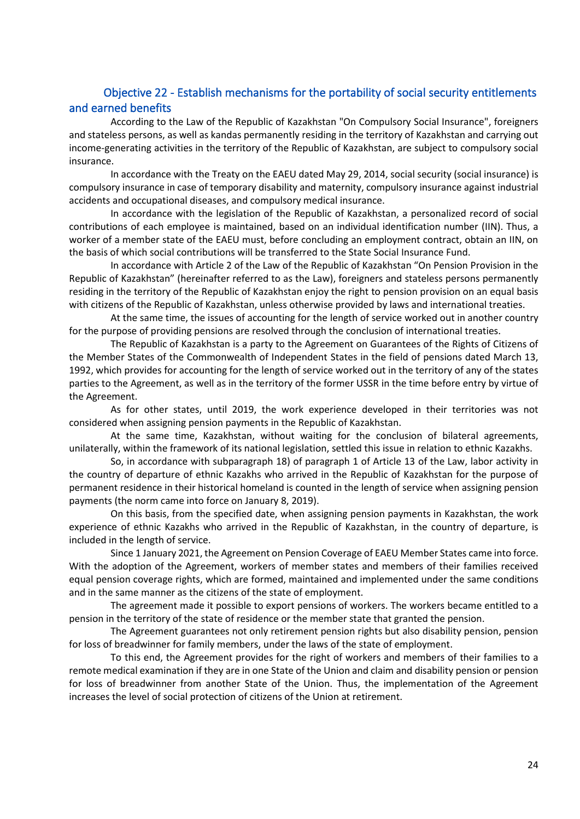# <span id="page-23-0"></span>Objective 22 - Establish mechanisms for the portability of social security entitlements and earned benefits

According to the Law of the Republic of Kazakhstan "On Compulsory Social Insurance", foreigners and stateless persons, as well as kandas permanently residing in the territory of Kazakhstan and carrying out income-generating activities in the territory of the Republic of Kazakhstan, are subject to compulsory social insurance.

In accordance with the Treaty on the EAEU dated May 29, 2014, social security (social insurance) is compulsory insurance in case of temporary disability and maternity, compulsory insurance against industrial accidents and occupational diseases, and compulsory medical insurance.

In accordance with the legislation of the Republic of Kazakhstan, a personalized record of social contributions of each employee is maintained, based on an individual identification number (IIN). Thus, a worker of a member state of the EAEU must, before concluding an employment contract, obtain an IIN, on the basis of which social contributions will be transferred to the State Social Insurance Fund.

In accordance with Article 2 of the Law of the Republic of Kazakhstan "On Pension Provision in the Republic of Kazakhstan" (hereinafter referred to as the Law), foreigners and stateless persons permanently residing in the territory of the Republic of Kazakhstan enjoy the right to pension provision on an equal basis with citizens of the Republic of Kazakhstan, unless otherwise provided by laws and international treaties.

At the same time, the issues of accounting for the length of service worked out in another country for the purpose of providing pensions are resolved through the conclusion of international treaties.

The Republic of Kazakhstan is a party to the Agreement on Guarantees of the Rights of Citizens of the Member States of the Commonwealth of Independent States in the field of pensions dated March 13, 1992, which provides for accounting for the length of service worked out in the territory of any of the states parties to the Agreement, as well as in the territory of the former USSR in the time before entry by virtue of the Agreement.

As for other states, until 2019, the work experience developed in their territories was not considered when assigning pension payments in the Republic of Kazakhstan.

At the same time, Kazakhstan, without waiting for the conclusion of bilateral agreements, unilaterally, within the framework of its national legislation, settled this issue in relation to ethnic Kazakhs.

So, in accordance with subparagraph 18) of paragraph 1 of Article 13 of the Law, labor activity in the country of departure of ethnic Kazakhs who arrived in the Republic of Kazakhstan for the purpose of permanent residence in their historical homeland is counted in the length of service when assigning pension payments (the norm came into force on January 8, 2019).

On this basis, from the specified date, when assigning pension payments in Kazakhstan, the work experience of ethnic Kazakhs who arrived in the Republic of Kazakhstan, in the country of departure, is included in the length of service.

Since 1 January 2021, the Agreement on Pension Coverage of EAEU Member States came into force. With the adoption of the Agreement, workers of member states and members of their families received equal pension coverage rights, which are formed, maintained and implemented under the same conditions and in the same manner as the citizens of the state of employment.

The agreement made it possible to export pensions of workers. The workers became entitled to a pension in the territory of the state of residence or the member state that granted the pension.

The Agreement guarantees not only retirement pension rights but also disability pension, pension for loss of breadwinner for family members, under the laws of the state of employment.

To this end, the Agreement provides for the right of workers and members of their families to a remote medical examination if they are in one State of the Union and claim and disability pension or pension for loss of breadwinner from another State of the Union. Thus, the implementation of the Agreement increases the level of social protection of citizens of the Union at retirement.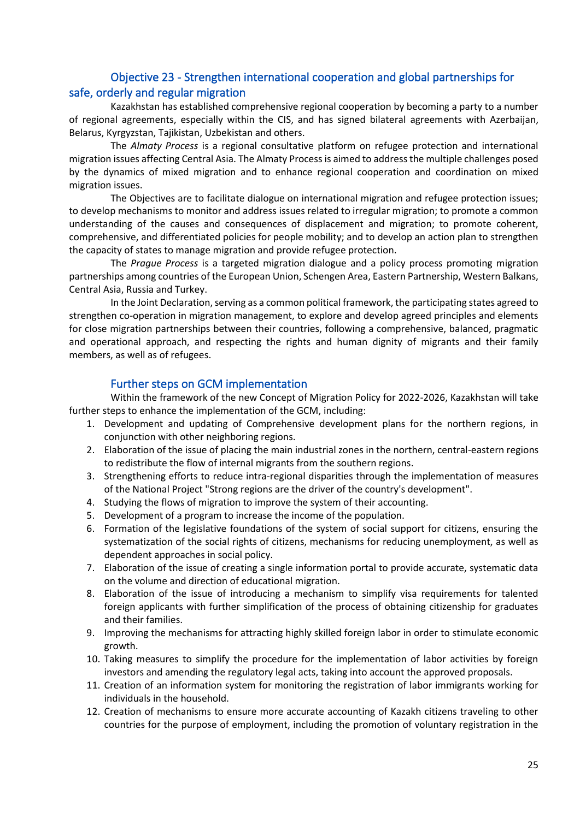# Objective 23 - Strengthen international cooperation and global partnerships for safe, orderly and regular migration

Kazakhstan has established comprehensive regional cooperation by becoming a party to a number of regional agreements, especially within the CIS, and has signed bilateral agreements with Azerbaijan, Belarus, Kyrgyzstan, Tajikistan, Uzbekistan and others.

The *Almaty Process* is a regional consultative platform on refugee protection and international migration issues affecting Central Asia. The Almaty Process is aimed to address the multiple challenges posed by the dynamics of mixed migration and to enhance regional cooperation and coordination on mixed migration issues.

The Objectives are to facilitate dialogue on international migration and refugee protection issues; to develop mechanisms to monitor and address issues related to irregular migration; to promote a common understanding of the causes and consequences of displacement and migration; to promote coherent, comprehensive, and differentiated policies for people mobility; and to develop an action plan to strengthen the capacity of states to manage migration and provide refugee protection.

The *Prague Process* is a targeted migration dialogue and a policy process promoting migration partnerships among countries of the European Union, Schengen Area, Eastern Partnership, Western Balkans, Central Asia, Russia and Turkey.

In the Joint Declaration, serving as a common political framework, the participating states agreed to strengthen co-operation in migration management, to explore and develop agreed principles and elements for close migration partnerships between their countries, following a comprehensive, balanced, pragmatic and operational approach, and respecting the rights and human dignity of migrants and their family members, as well as of refugees.

#### Further steps on GCM implementation

Within the framework of the new Concept of Migration Policy for 2022-2026, Kazakhstan will take further steps to enhance the implementation of the GCM, including:

- 1. Development and updating of Comprehensive development plans for the northern regions, in conjunction with other neighboring regions.
- 2. Elaboration of the issue of placing the main industrial zones in the northern, central-eastern regions to redistribute the flow of internal migrants from the southern regions.
- 3. Strengthening efforts to reduce intra-regional disparities through the implementation of measures of the National Project "Strong regions are the driver of the country's development".
- 4. Studying the flows of migration to improve the system of their accounting.
- 5. Development of a program to increase the income of the population.
- 6. Formation of the legislative foundations of the system of social support for citizens, ensuring the systematization of the social rights of citizens, mechanisms for reducing unemployment, as well as dependent approaches in social policy.
- 7. Elaboration of the issue of creating a single information portal to provide accurate, systematic data on the volume and direction of educational migration.
- 8. Elaboration of the issue of introducing a mechanism to simplify visa requirements for talented foreign applicants with further simplification of the process of obtaining citizenship for graduates and their families.
- 9. Improving the mechanisms for attracting highly skilled foreign labor in order to stimulate economic growth.
- 10. Taking measures to simplify the procedure for the implementation of labor activities by foreign investors and amending the regulatory legal acts, taking into account the approved proposals.
- 11. Creation of an information system for monitoring the registration of labor immigrants working for individuals in the household.
- 12. Creation of mechanisms to ensure more accurate accounting of Kazakh citizens traveling to other countries for the purpose of employment, including the promotion of voluntary registration in the